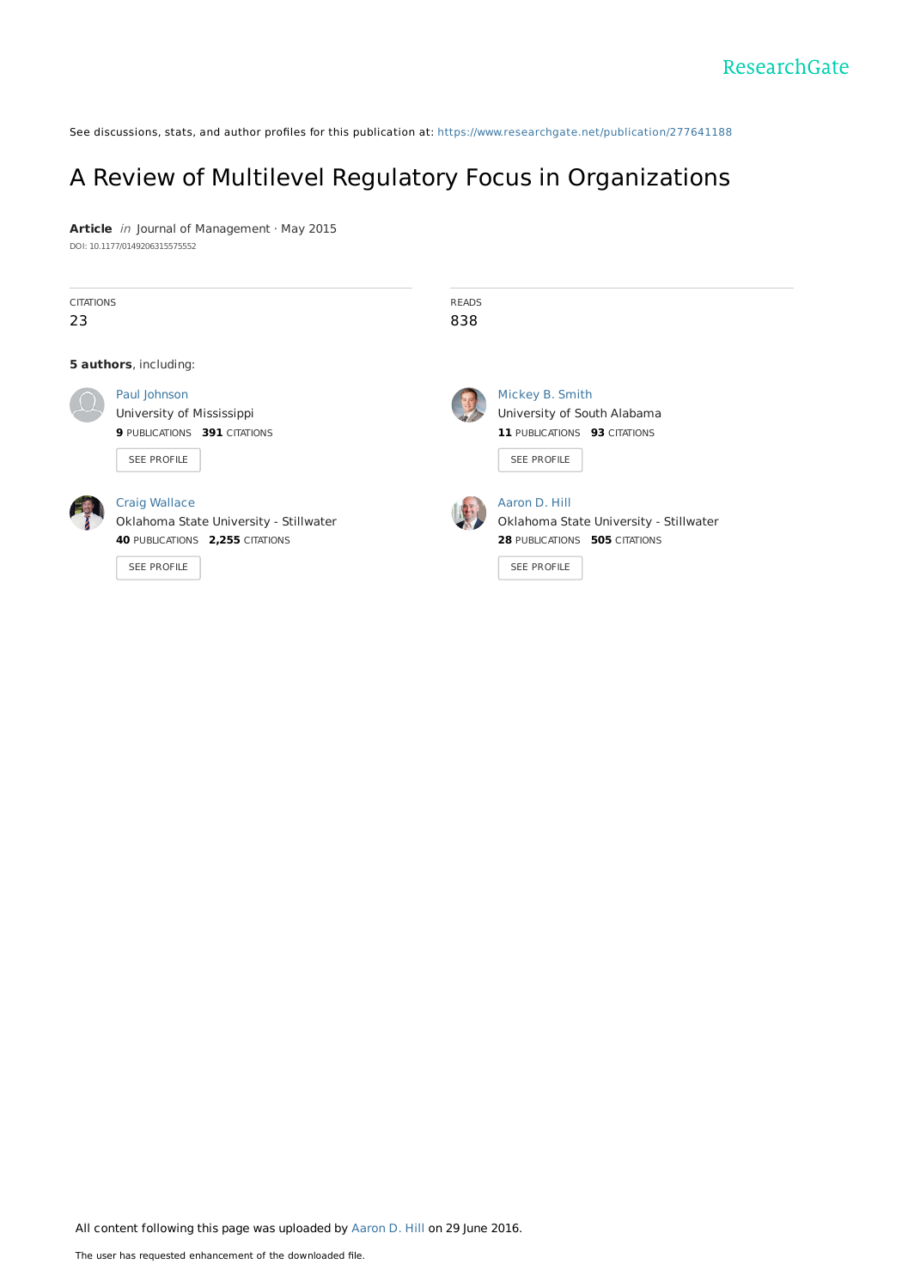See discussions, stats, and author profiles for this publication at: [https://www.researchgate.net/publication/277641188](https://www.researchgate.net/publication/277641188_A_Review_of_Multilevel_Regulatory_Focus_in_Organizations?enrichId=rgreq-dde3568d7c7c3eb32ce3b7a7e5a27732-XXX&enrichSource=Y292ZXJQYWdlOzI3NzY0MTE4ODtBUzozNzgzMDE1MDA2NzQwNDlAMTQ2NzIwNTUxNDQ3NA%3D%3D&el=1_x_2&_esc=publicationCoverPdf)

### A Review of Multilevel Regulatory Focus in [Organizations](https://www.researchgate.net/publication/277641188_A_Review_of_Multilevel_Regulatory_Focus_in_Organizations?enrichId=rgreq-dde3568d7c7c3eb32ce3b7a7e5a27732-XXX&enrichSource=Y292ZXJQYWdlOzI3NzY0MTE4ODtBUzozNzgzMDE1MDA2NzQwNDlAMTQ2NzIwNTUxNDQ3NA%3D%3D&el=1_x_3&_esc=publicationCoverPdf)

**Article** in Journal of Management · May 2015 DOI: 10.1177/0149206315575552

| <b>CITATIONS</b><br>23 |                                                                                                                  | <b>READS</b><br>838                                                                                     |  |
|------------------------|------------------------------------------------------------------------------------------------------------------|---------------------------------------------------------------------------------------------------------|--|
|                        | 5 authors, including:                                                                                            |                                                                                                         |  |
|                        | Paul Johnson<br>University of Mississippi<br>9 PUBLICATIONS 391 CITATIONS<br>SEE PROFILE                         | Mickey B. Smith<br>University of South Alabama<br>11 PUBLICATIONS 93 CITATIONS<br>SEE PROFILE           |  |
|                        | <b>Craig Wallace</b><br>Oklahoma State University - Stillwater<br>40 PUBLICATIONS 2,255 CITATIONS<br>SEE PROFILE | Aaron D. Hill<br>Oklahoma State University - Stillwater<br>28 PUBLICATIONS 505 CITATIONS<br>SEE PROFILE |  |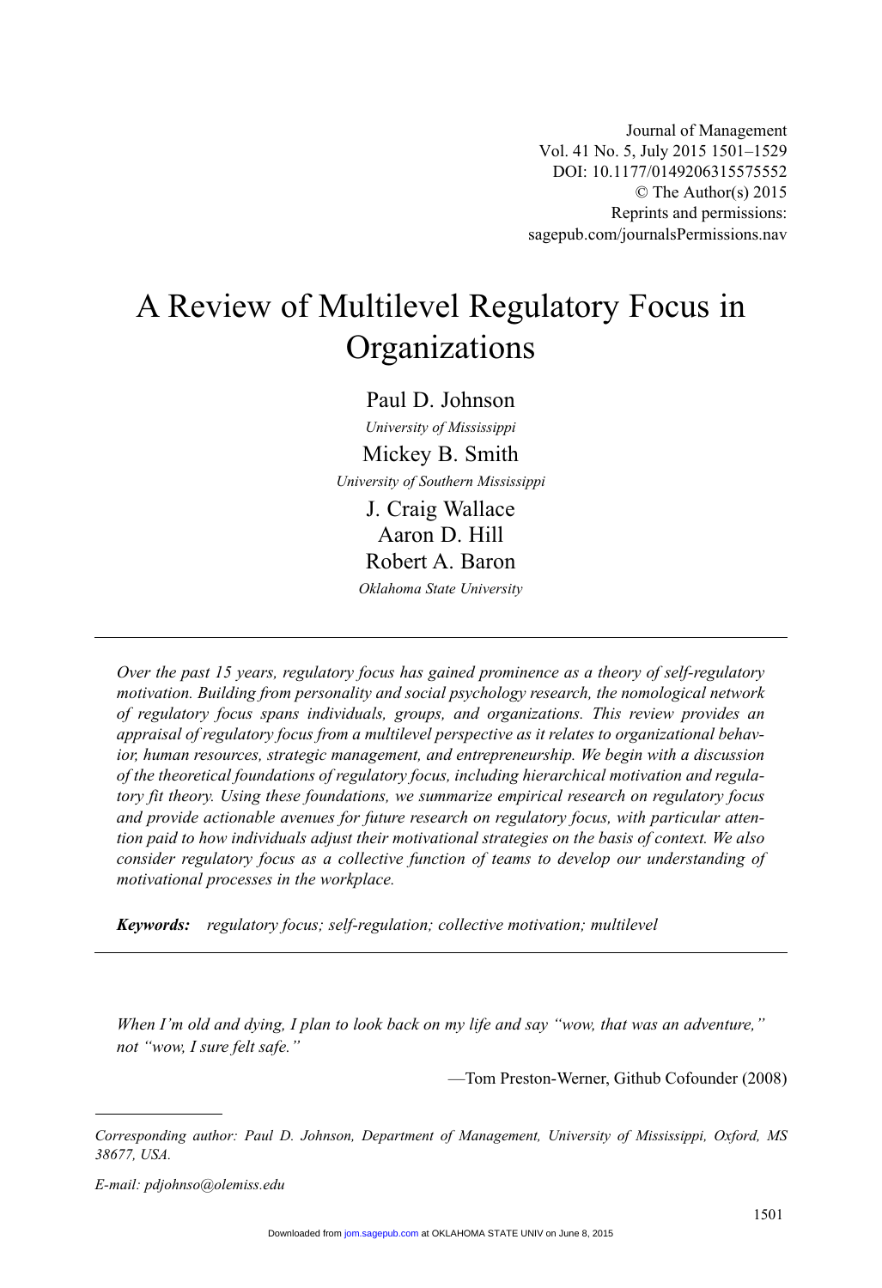Journal of Management Vol. 41 No. 5, July 2015 1501–1529 DOI: 10.1177/0149206315575552 © The Author(s) 2015 Reprints and permissions: sagepub.com/journalsPermissions.nav

# A Review of Multilevel Regulatory Focus in **Organizations**

Paul D. Johnson

*University of Mississippi* Mickey B. Smith *University of Southern Mississippi* J. Craig Wallace Aaron D. Hill Robert A. Baron *Oklahoma State University*

*Over the past 15 years, regulatory focus has gained prominence as a theory of self-regulatory motivation. Building from personality and social psychology research, the nomological network of regulatory focus spans individuals, groups, and organizations. This review provides an appraisal of regulatory focus from a multilevel perspective as it relates to organizational behavior, human resources, strategic management, and entrepreneurship. We begin with a discussion of the theoretical foundations of regulatory focus, including hierarchical motivation and regulatory fit theory. Using these foundations, we summarize empirical research on regulatory focus and provide actionable avenues for future research on regulatory focus, with particular attention paid to how individuals adjust their motivational strategies on the basis of context. We also consider regulatory focus as a collective function of teams to develop our understanding of motivational processes in the workplace.*

*Keywords: regulatory focus; self-regulation; collective motivation; multilevel*

*When I'm old and dying, I plan to look back on my life and say "wow, that was an adventure," not "wow, I sure felt safe."*

—Tom Preston-Werner, Github Cofounder (2008)

*E-mail: pdjohnso@olemiss.edu*

*Corresponding author: Paul D. Johnson, Department of Management, University of Mississippi, Oxford, MS 38677, USA.*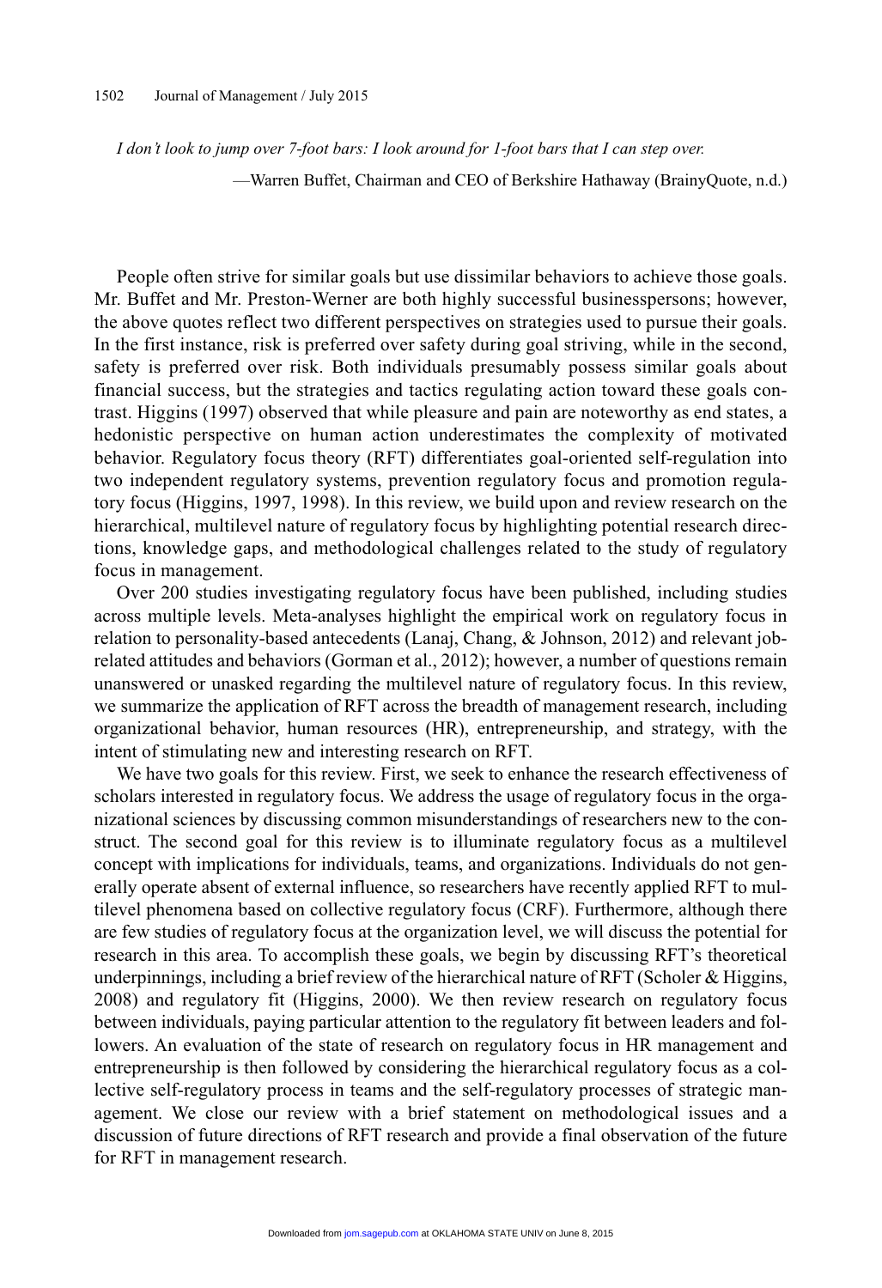*I don't look to jump over 7-foot bars: I look around for 1-foot bars that I can step over.*

—Warren Buffet, Chairman and CEO of Berkshire Hathaway (BrainyQuote, n.d.)

People often strive for similar goals but use dissimilar behaviors to achieve those goals. Mr. Buffet and Mr. Preston-Werner are both highly successful businesspersons; however, the above quotes reflect two different perspectives on strategies used to pursue their goals. In the first instance, risk is preferred over safety during goal striving, while in the second, safety is preferred over risk. Both individuals presumably possess similar goals about financial success, but the strategies and tactics regulating action toward these goals contrast. Higgins (1997) observed that while pleasure and pain are noteworthy as end states, a hedonistic perspective on human action underestimates the complexity of motivated behavior. Regulatory focus theory (RFT) differentiates goal-oriented self-regulation into two independent regulatory systems, prevention regulatory focus and promotion regulatory focus (Higgins, 1997, 1998). In this review, we build upon and review research on the hierarchical, multilevel nature of regulatory focus by highlighting potential research directions, knowledge gaps, and methodological challenges related to the study of regulatory focus in management.

Over 200 studies investigating regulatory focus have been published, including studies across multiple levels. Meta-analyses highlight the empirical work on regulatory focus in relation to personality-based antecedents (Lanaj, Chang, & Johnson, 2012) and relevant jobrelated attitudes and behaviors (Gorman et al., 2012); however, a number of questions remain unanswered or unasked regarding the multilevel nature of regulatory focus. In this review, we summarize the application of RFT across the breadth of management research, including organizational behavior, human resources (HR), entrepreneurship, and strategy, with the intent of stimulating new and interesting research on RFT.

We have two goals for this review. First, we seek to enhance the research effectiveness of scholars interested in regulatory focus. We address the usage of regulatory focus in the organizational sciences by discussing common misunderstandings of researchers new to the construct. The second goal for this review is to illuminate regulatory focus as a multilevel concept with implications for individuals, teams, and organizations. Individuals do not generally operate absent of external influence, so researchers have recently applied RFT to multilevel phenomena based on collective regulatory focus (CRF). Furthermore, although there are few studies of regulatory focus at the organization level, we will discuss the potential for research in this area. To accomplish these goals, we begin by discussing RFT's theoretical underpinnings, including a brief review of the hierarchical nature of RFT (Scholer  $&$  Higgins, 2008) and regulatory fit (Higgins, 2000). We then review research on regulatory focus between individuals, paying particular attention to the regulatory fit between leaders and followers. An evaluation of the state of research on regulatory focus in HR management and entrepreneurship is then followed by considering the hierarchical regulatory focus as a collective self-regulatory process in teams and the self-regulatory processes of strategic management. We close our review with a brief statement on methodological issues and a discussion of future directions of RFT research and provide a final observation of the future for RFT in management research.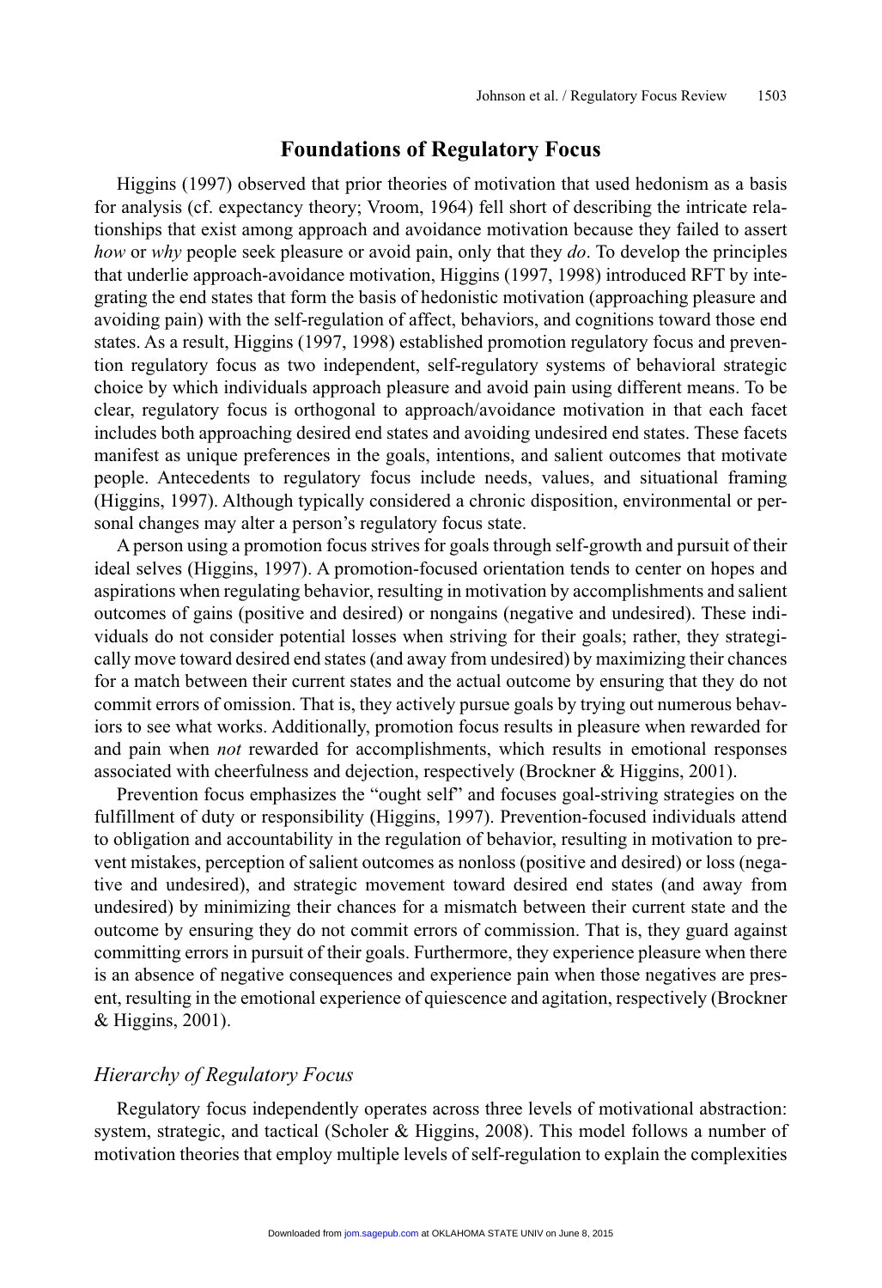#### **Foundations of Regulatory Focus**

Higgins (1997) observed that prior theories of motivation that used hedonism as a basis for analysis (cf. expectancy theory; Vroom, 1964) fell short of describing the intricate relationships that exist among approach and avoidance motivation because they failed to assert *how* or *why* people seek pleasure or avoid pain, only that they *do*. To develop the principles that underlie approach-avoidance motivation, Higgins (1997, 1998) introduced RFT by integrating the end states that form the basis of hedonistic motivation (approaching pleasure and avoiding pain) with the self-regulation of affect, behaviors, and cognitions toward those end states. As a result, Higgins (1997, 1998) established promotion regulatory focus and prevention regulatory focus as two independent, self-regulatory systems of behavioral strategic choice by which individuals approach pleasure and avoid pain using different means. To be clear, regulatory focus is orthogonal to approach/avoidance motivation in that each facet includes both approaching desired end states and avoiding undesired end states. These facets manifest as unique preferences in the goals, intentions, and salient outcomes that motivate people. Antecedents to regulatory focus include needs, values, and situational framing (Higgins, 1997). Although typically considered a chronic disposition, environmental or personal changes may alter a person's regulatory focus state.

A person using a promotion focus strives for goals through self-growth and pursuit of their ideal selves (Higgins, 1997). A promotion-focused orientation tends to center on hopes and aspirations when regulating behavior, resulting in motivation by accomplishments and salient outcomes of gains (positive and desired) or nongains (negative and undesired). These individuals do not consider potential losses when striving for their goals; rather, they strategically move toward desired end states (and away from undesired) by maximizing their chances for a match between their current states and the actual outcome by ensuring that they do not commit errors of omission. That is, they actively pursue goals by trying out numerous behaviors to see what works. Additionally, promotion focus results in pleasure when rewarded for and pain when *not* rewarded for accomplishments, which results in emotional responses associated with cheerfulness and dejection, respectively (Brockner & Higgins, 2001).

Prevention focus emphasizes the "ought self" and focuses goal-striving strategies on the fulfillment of duty or responsibility (Higgins, 1997). Prevention-focused individuals attend to obligation and accountability in the regulation of behavior, resulting in motivation to prevent mistakes, perception of salient outcomes as nonloss (positive and desired) or loss (negative and undesired), and strategic movement toward desired end states (and away from undesired) by minimizing their chances for a mismatch between their current state and the outcome by ensuring they do not commit errors of commission. That is, they guard against committing errors in pursuit of their goals. Furthermore, they experience pleasure when there is an absence of negative consequences and experience pain when those negatives are present, resulting in the emotional experience of quiescence and agitation, respectively (Brockner & Higgins, 2001).

#### *Hierarchy of Regulatory Focus*

Regulatory focus independently operates across three levels of motivational abstraction: system, strategic, and tactical (Scholer & Higgins, 2008). This model follows a number of motivation theories that employ multiple levels of self-regulation to explain the complexities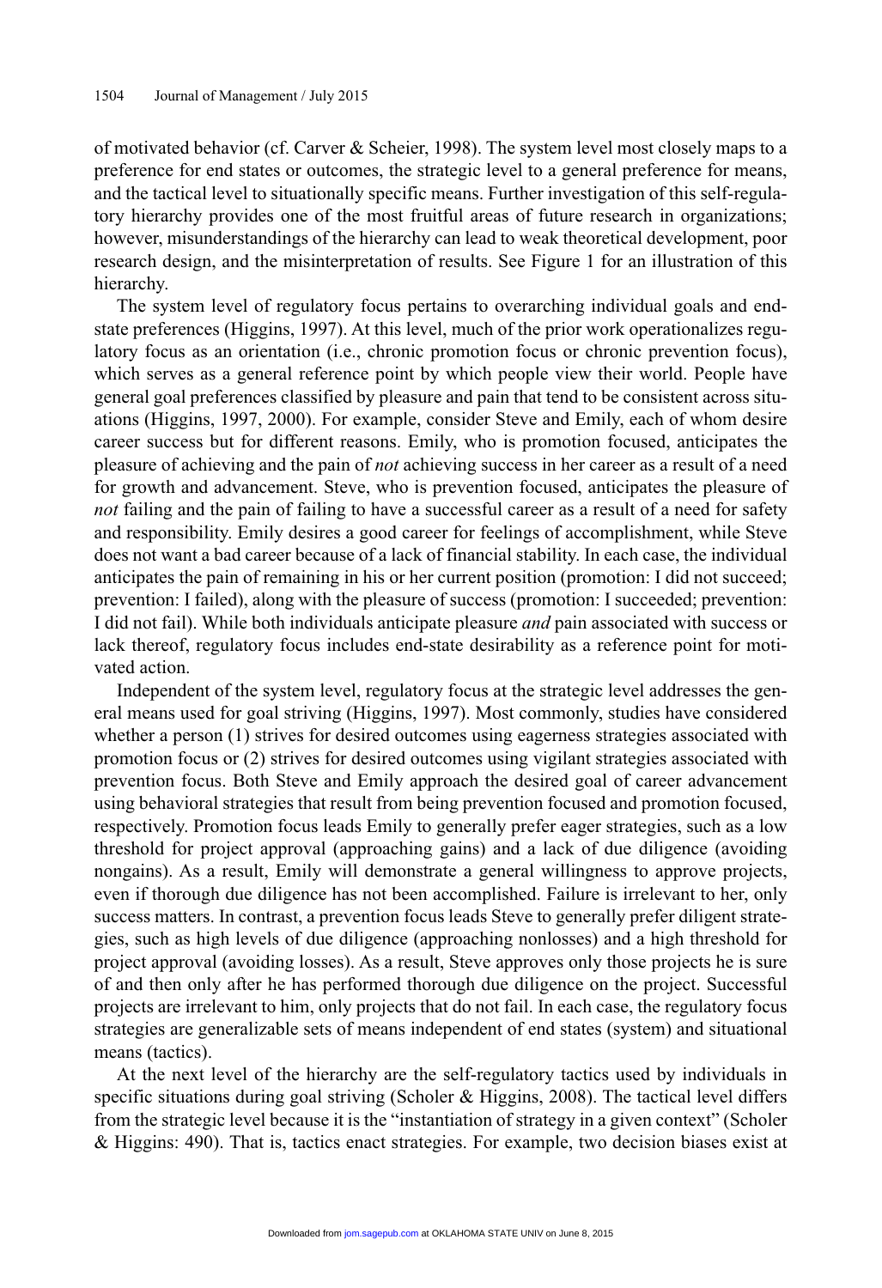of motivated behavior (cf. Carver  $&$  Scheier, 1998). The system level most closely maps to a preference for end states or outcomes, the strategic level to a general preference for means, and the tactical level to situationally specific means. Further investigation of this self-regulatory hierarchy provides one of the most fruitful areas of future research in organizations; however, misunderstandings of the hierarchy can lead to weak theoretical development, poor research design, and the misinterpretation of results. See Figure 1 for an illustration of this hierarchy.

The system level of regulatory focus pertains to overarching individual goals and endstate preferences (Higgins, 1997). At this level, much of the prior work operationalizes regulatory focus as an orientation (i.e., chronic promotion focus or chronic prevention focus), which serves as a general reference point by which people view their world. People have general goal preferences classified by pleasure and pain that tend to be consistent across situations (Higgins, 1997, 2000). For example, consider Steve and Emily, each of whom desire career success but for different reasons. Emily, who is promotion focused, anticipates the pleasure of achieving and the pain of *not* achieving success in her career as a result of a need for growth and advancement. Steve, who is prevention focused, anticipates the pleasure of *not* failing and the pain of failing to have a successful career as a result of a need for safety and responsibility. Emily desires a good career for feelings of accomplishment, while Steve does not want a bad career because of a lack of financial stability. In each case, the individual anticipates the pain of remaining in his or her current position (promotion: I did not succeed; prevention: I failed), along with the pleasure of success (promotion: I succeeded; prevention: I did not fail). While both individuals anticipate pleasure *and* pain associated with success or lack thereof, regulatory focus includes end-state desirability as a reference point for motivated action.

Independent of the system level, regulatory focus at the strategic level addresses the general means used for goal striving (Higgins, 1997). Most commonly, studies have considered whether a person (1) strives for desired outcomes using eagerness strategies associated with promotion focus or (2) strives for desired outcomes using vigilant strategies associated with prevention focus. Both Steve and Emily approach the desired goal of career advancement using behavioral strategies that result from being prevention focused and promotion focused, respectively. Promotion focus leads Emily to generally prefer eager strategies, such as a low threshold for project approval (approaching gains) and a lack of due diligence (avoiding nongains). As a result, Emily will demonstrate a general willingness to approve projects, even if thorough due diligence has not been accomplished. Failure is irrelevant to her, only success matters. In contrast, a prevention focus leads Steve to generally prefer diligent strategies, such as high levels of due diligence (approaching nonlosses) and a high threshold for project approval (avoiding losses). As a result, Steve approves only those projects he is sure of and then only after he has performed thorough due diligence on the project. Successful projects are irrelevant to him, only projects that do not fail. In each case, the regulatory focus strategies are generalizable sets of means independent of end states (system) and situational means (tactics).

At the next level of the hierarchy are the self-regulatory tactics used by individuals in specific situations during goal striving (Scholer  $\&$  Higgins, 2008). The tactical level differs from the strategic level because it is the "instantiation of strategy in a given context" (Scholer & Higgins: 490). That is, tactics enact strategies. For example, two decision biases exist at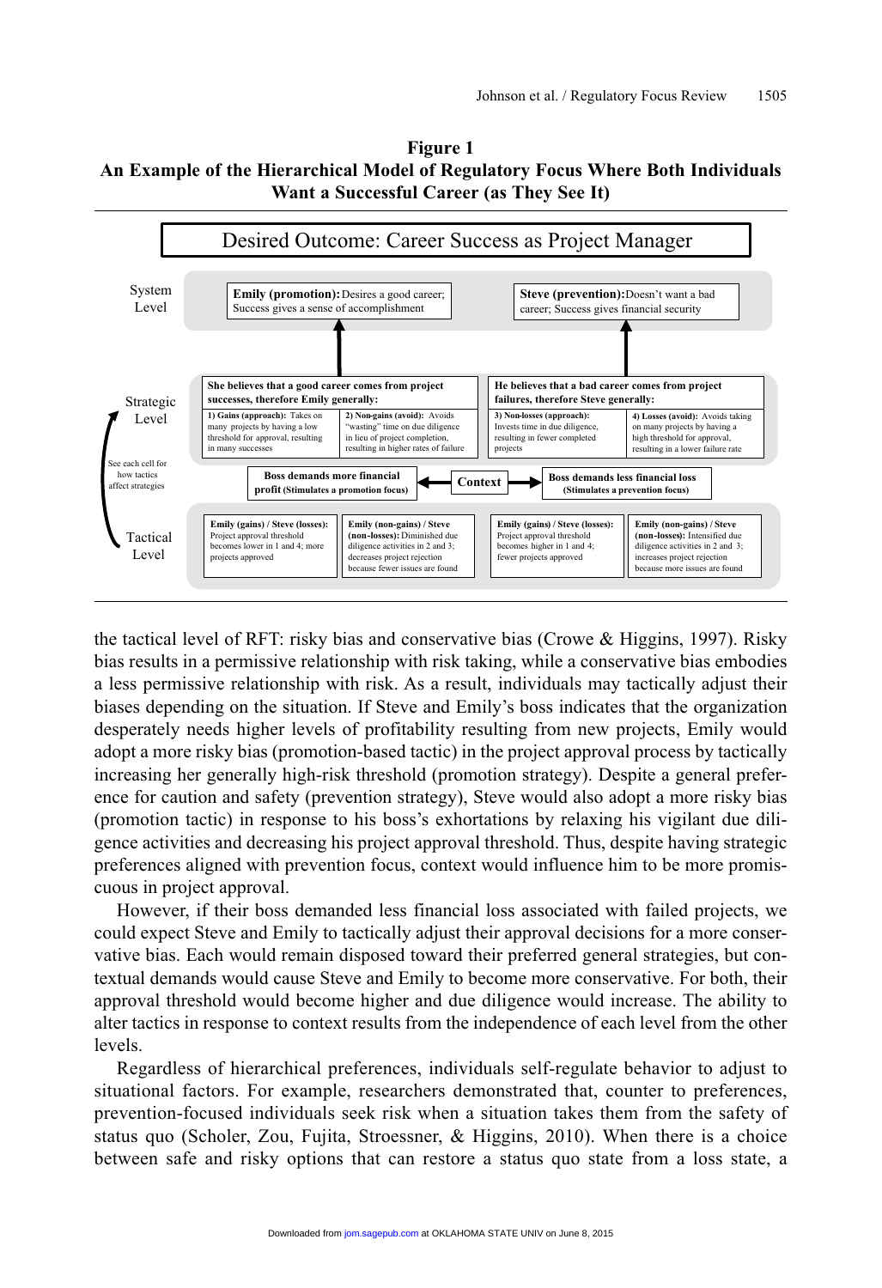

**Emily (non-gains) / Steve**  (non-losses): Dimin diligence activities in 2 and 3; decreases project rejection because fewer issues are found

**Emily (gains) / Steve (losses):** Project approval thresho becomes higher in 1 and 4; fewer projects approved

**Emily (non-gains) / Steve (non-losses):** Intensified due diligence activities in 2 and 3; increases project rejection because more issues are found

Tactical Level

**Emily (gains) / Steve (losses):** Project approval thresho becomes lower in 1 and 4; more projects approved

## **Figure 1 An Example of the Hierarchical Model of Regulatory Focus Where Both Individuals**

the tactical level of RFT: risky bias and conservative bias (Crowe & Higgins, 1997). Risky bias results in a permissive relationship with risk taking, while a conservative bias embodies a less permissive relationship with risk. As a result, individuals may tactically adjust their biases depending on the situation. If Steve and Emily's boss indicates that the organization desperately needs higher levels of profitability resulting from new projects, Emily would adopt a more risky bias (promotion-based tactic) in the project approval process by tactically increasing her generally high-risk threshold (promotion strategy). Despite a general preference for caution and safety (prevention strategy), Steve would also adopt a more risky bias (promotion tactic) in response to his boss's exhortations by relaxing his vigilant due diligence activities and decreasing his project approval threshold. Thus, despite having strategic preferences aligned with prevention focus, context would influence him to be more promiscuous in project approval.

However, if their boss demanded less financial loss associated with failed projects, we could expect Steve and Emily to tactically adjust their approval decisions for a more conservative bias. Each would remain disposed toward their preferred general strategies, but contextual demands would cause Steve and Emily to become more conservative. For both, their approval threshold would become higher and due diligence would increase. The ability to alter tactics in response to context results from the independence of each level from the other levels.

Regardless of hierarchical preferences, individuals self-regulate behavior to adjust to situational factors. For example, researchers demonstrated that, counter to preferences, prevention-focused individuals seek risk when a situation takes them from the safety of status quo (Scholer, Zou, Fujita, Stroessner, & Higgins, 2010). When there is a choice between safe and risky options that can restore a status quo state from a loss state, a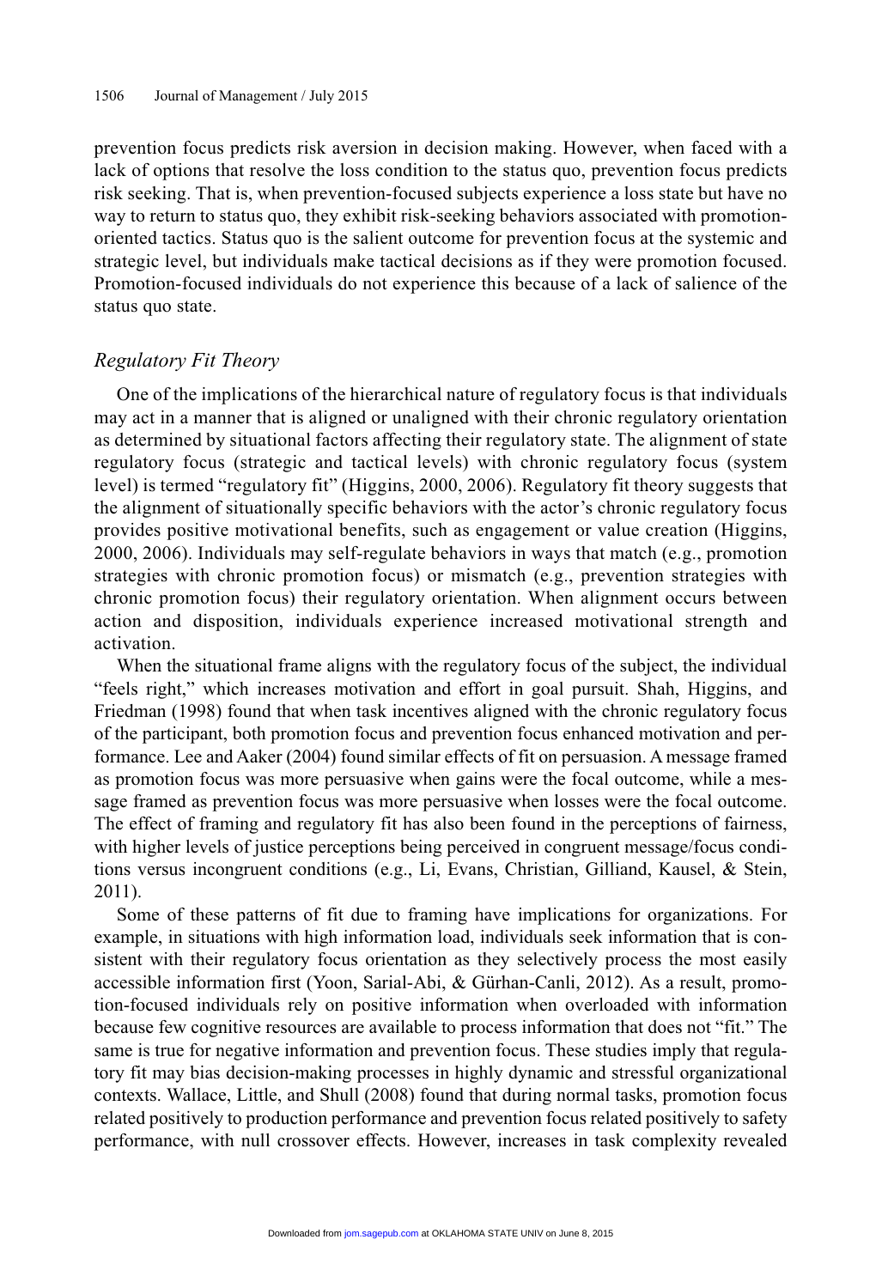prevention focus predicts risk aversion in decision making. However, when faced with a lack of options that resolve the loss condition to the status quo, prevention focus predicts risk seeking. That is, when prevention-focused subjects experience a loss state but have no way to return to status quo, they exhibit risk-seeking behaviors associated with promotionoriented tactics. Status quo is the salient outcome for prevention focus at the systemic and strategic level, but individuals make tactical decisions as if they were promotion focused. Promotion-focused individuals do not experience this because of a lack of salience of the status quo state.

#### *Regulatory Fit Theory*

One of the implications of the hierarchical nature of regulatory focus is that individuals may act in a manner that is aligned or unaligned with their chronic regulatory orientation as determined by situational factors affecting their regulatory state. The alignment of state regulatory focus (strategic and tactical levels) with chronic regulatory focus (system level) is termed "regulatory fit" (Higgins, 2000, 2006). Regulatory fit theory suggests that the alignment of situationally specific behaviors with the actor's chronic regulatory focus provides positive motivational benefits, such as engagement or value creation (Higgins, 2000, 2006). Individuals may self-regulate behaviors in ways that match (e.g., promotion strategies with chronic promotion focus) or mismatch (e.g., prevention strategies with chronic promotion focus) their regulatory orientation. When alignment occurs between action and disposition, individuals experience increased motivational strength and activation.

When the situational frame aligns with the regulatory focus of the subject, the individual "feels right," which increases motivation and effort in goal pursuit. Shah, Higgins, and Friedman (1998) found that when task incentives aligned with the chronic regulatory focus of the participant, both promotion focus and prevention focus enhanced motivation and performance. Lee and Aaker (2004) found similar effects of fit on persuasion. A message framed as promotion focus was more persuasive when gains were the focal outcome, while a message framed as prevention focus was more persuasive when losses were the focal outcome. The effect of framing and regulatory fit has also been found in the perceptions of fairness, with higher levels of justice perceptions being perceived in congruent message/focus conditions versus incongruent conditions (e.g., Li, Evans, Christian, Gilliand, Kausel, & Stein, 2011).

Some of these patterns of fit due to framing have implications for organizations. For example, in situations with high information load, individuals seek information that is consistent with their regulatory focus orientation as they selectively process the most easily accessible information first (Yoon, Sarial-Abi, & Gürhan-Canli, 2012). As a result, promotion-focused individuals rely on positive information when overloaded with information because few cognitive resources are available to process information that does not "fit." The same is true for negative information and prevention focus. These studies imply that regulatory fit may bias decision-making processes in highly dynamic and stressful organizational contexts. Wallace, Little, and Shull (2008) found that during normal tasks, promotion focus related positively to production performance and prevention focus related positively to safety performance, with null crossover effects. However, increases in task complexity revealed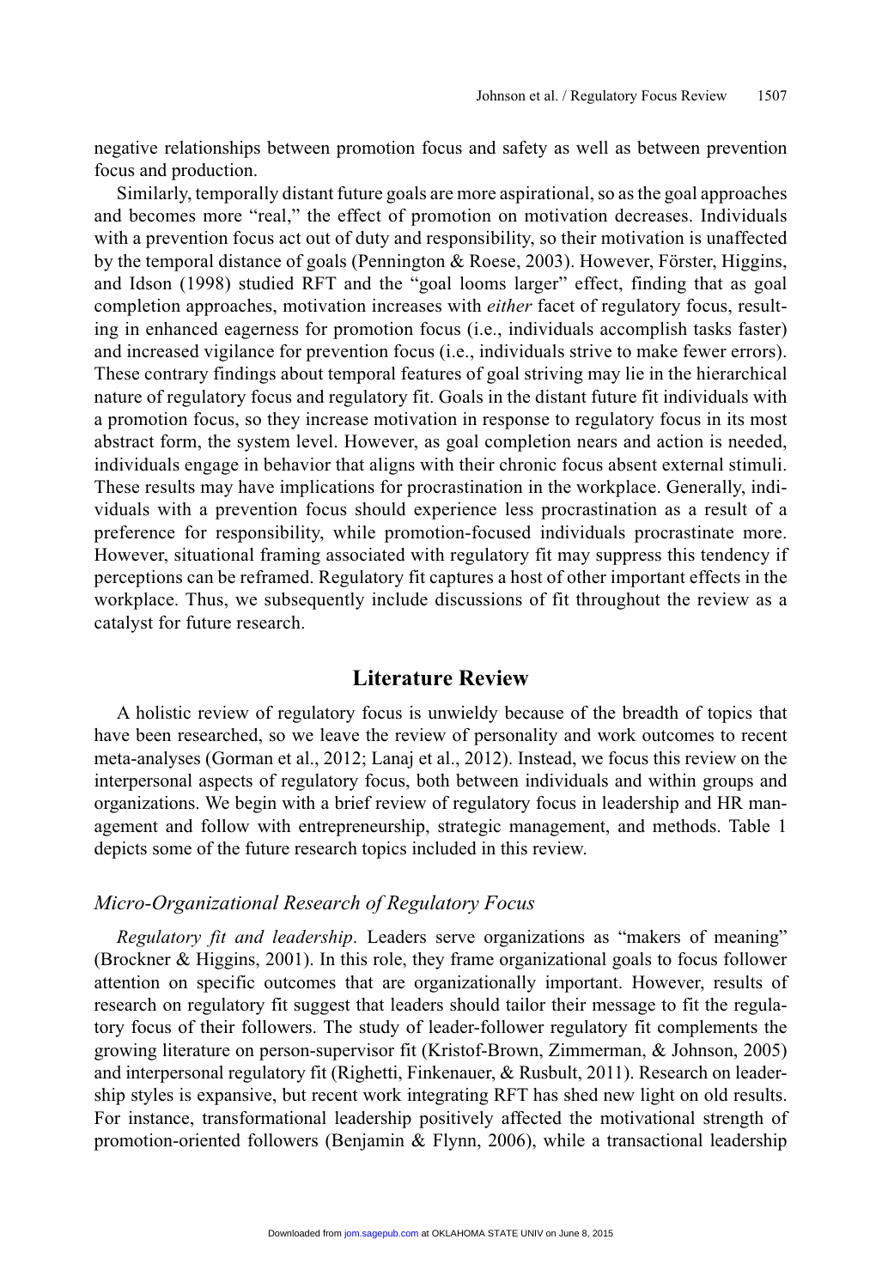negative relationships between promotion focus and safety as well as between prevention focus and production.

Similarly, temporally distant future goals are more aspirational, so as the goal approaches and becomes more "real," the effect of promotion on motivation decreases. Individuals with a prevention focus act out of duty and responsibility, so their motivation is unaffected by the temporal distance of goals (Pennington & Roese, 2003). However, Förster, Higgins, and Idson (1998) studied RFT and the "goal looms larger" effect, finding that as goal completion approaches, motivation increases with *either* facet of regulatory focus, resulting in enhanced eagerness for promotion focus (i.e., individuals accomplish tasks faster) and increased vigilance for prevention focus (i.e., individuals strive to make fewer errors). These contrary findings about temporal features of goal striving may lie in the hierarchical nature of regulatory focus and regulatory fit. Goals in the distant future fit individuals with a promotion focus, so they increase motivation in response to regulatory focus in its most abstract form, the system level. However, as goal completion nears and action is needed, individuals engage in behavior that aligns with their chronic focus absent external stimuli. These results may have implications for procrastination in the workplace. Generally, individuals with a prevention focus should experience less procrastination as a result of a preference for responsibility, while promotion-focused individuals procrastinate more. However, situational framing associated with regulatory fit may suppress this tendency if perceptions can be reframed. Regulatory fit captures a host of other important effects in the workplace. Thus, we subsequently include discussions of fit throughout the review as a catalyst for future research.

#### **Literature Review**

A holistic review of regulatory focus is unwieldy because of the breadth of topics that have been researched, so we leave the review of personality and work outcomes to recent meta-analyses (Gorman et al., 2012; Lanaj et al., 2012). Instead, we focus this review on the interpersonal aspects of regulatory focus, both between individuals and within groups and organizations. We begin with a brief review of regulatory focus in leadership and HR management and follow with entrepreneurship, strategic management, and methods. Table 1 depicts some of the future research topics included in this review.

#### *Micro-Organizational Research of Regulatory Focus*

*Regulatory fit and leadership*. Leaders serve organizations as "makers of meaning" (Brockner & Higgins, 2001). In this role, they frame organizational goals to focus follower attention on specific outcomes that are organizationally important. However, results of research on regulatory fit suggest that leaders should tailor their message to fit the regulatory focus of their followers. The study of leader-follower regulatory fit complements the growing literature on person-supervisor fit (Kristof-Brown, Zimmerman, & Johnson, 2005) and interpersonal regulatory fit (Righetti, Finkenauer, & Rusbult, 2011). Research on leadership styles is expansive, but recent work integrating RFT has shed new light on old results. For instance, transformational leadership positively affected the motivational strength of promotion-oriented followers (Benjamin & Flynn, 2006), while a transactional leadership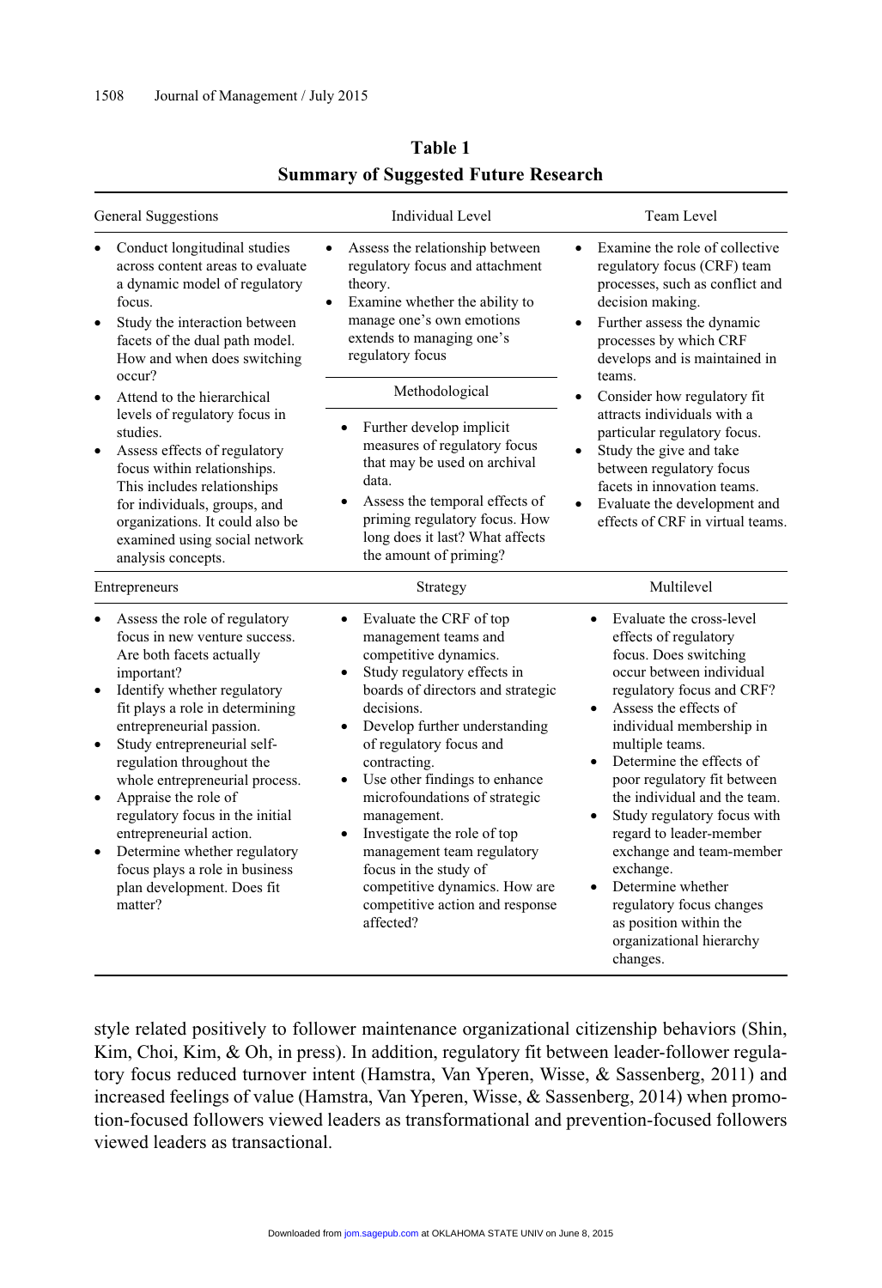| <b>General Suggestions</b>                                                                                                                                                                                                                                                                                                                                                                                                                                                                                                                                                     | <b>Individual Level</b>                                                                                                                                                                                                                                                                                                                                                                                                                                                                                     | Team Level                                                                                                                                                                                                                                                                                                                                                                                                                                                                                                                                                                       |
|--------------------------------------------------------------------------------------------------------------------------------------------------------------------------------------------------------------------------------------------------------------------------------------------------------------------------------------------------------------------------------------------------------------------------------------------------------------------------------------------------------------------------------------------------------------------------------|-------------------------------------------------------------------------------------------------------------------------------------------------------------------------------------------------------------------------------------------------------------------------------------------------------------------------------------------------------------------------------------------------------------------------------------------------------------------------------------------------------------|----------------------------------------------------------------------------------------------------------------------------------------------------------------------------------------------------------------------------------------------------------------------------------------------------------------------------------------------------------------------------------------------------------------------------------------------------------------------------------------------------------------------------------------------------------------------------------|
| Conduct longitudinal studies<br>$\bullet$<br>across content areas to evaluate<br>a dynamic model of regulatory<br>focus.<br>Study the interaction between<br>$\bullet$<br>facets of the dual path model.<br>How and when does switching<br>occur?<br>Attend to the hierarchical<br>$\bullet$<br>levels of regulatory focus in<br>studies.<br>Assess effects of regulatory<br>$\bullet$<br>focus within relationships.<br>This includes relationships<br>for individuals, groups, and<br>organizations. It could also be<br>examined using social network<br>analysis concepts. | Assess the relationship between<br>regulatory focus and attachment<br>theory.<br>Examine whether the ability to<br>$\bullet$<br>manage one's own emotions<br>extends to managing one's<br>regulatory focus<br>Methodological<br>Further develop implicit<br>measures of regulatory focus<br>that may be used on archival<br>data.<br>Assess the temporal effects of<br>priming regulatory focus. How<br>long does it last? What affects<br>the amount of priming?                                           | Examine the role of collective<br>regulatory focus (CRF) team<br>processes, such as conflict and<br>decision making.<br>Further assess the dynamic<br>$\bullet$<br>processes by which CRF<br>develops and is maintained in<br>teams.<br>Consider how regulatory fit<br>$\bullet$<br>attracts individuals with a<br>particular regulatory focus.<br>Study the give and take<br>between regulatory focus<br>facets in innovation teams.<br>$\bullet$<br>Evaluate the development and<br>effects of CRF in virtual teams.                                                           |
| Entrepreneurs                                                                                                                                                                                                                                                                                                                                                                                                                                                                                                                                                                  | Strategy                                                                                                                                                                                                                                                                                                                                                                                                                                                                                                    | Multilevel                                                                                                                                                                                                                                                                                                                                                                                                                                                                                                                                                                       |
| Assess the role of regulatory<br>$\bullet$<br>focus in new venture success<br>Are both facets actually<br>important?<br>Identify whether regulatory<br>$\bullet$<br>fit plays a role in determining<br>entrepreneurial passion.<br>Study entrepreneurial self-<br>$\bullet$<br>regulation throughout the<br>whole entrepreneurial process.<br>Appraise the role of<br>$\bullet$<br>regulatory focus in the initial<br>entrepreneurial action.<br>Determine whether regulatory<br>$\bullet$<br>focus plays a role in business<br>plan development. Does fit<br>matter?          | Evaluate the CRF of top<br>management teams and<br>competitive dynamics.<br>Study regulatory effects in<br>boards of directors and strategic<br>decisions.<br>Develop further understanding<br>of regulatory focus and<br>contracting.<br>Use other findings to enhance<br>microfoundations of strategic<br>management.<br>Investigate the role of top<br>$\bullet$<br>management team regulatory<br>focus in the study of<br>competitive dynamics. How are<br>competitive action and response<br>affected? | Evaluate the cross-level<br>effects of regulatory<br>focus. Does switching<br>occur between individual<br>regulatory focus and CRF?<br>Assess the effects of<br>$\bullet$<br>individual membership in<br>multiple teams.<br>Determine the effects of<br>$\bullet$<br>poor regulatory fit between<br>the individual and the team.<br>Study regulatory focus with<br>$\bullet$<br>regard to leader-member<br>exchange and team-member<br>exchange.<br>Determine whether<br>$\bullet$<br>regulatory focus changes<br>as position within the<br>organizational hierarchy<br>changes. |

### **Table 1 Summary of Suggested Future Research**

style related positively to follower maintenance organizational citizenship behaviors (Shin, Kim, Choi, Kim, & Oh, in press). In addition, regulatory fit between leader-follower regulatory focus reduced turnover intent (Hamstra, Van Yperen, Wisse, & Sassenberg, 2011) and increased feelings of value (Hamstra, Van Yperen, Wisse, & Sassenberg, 2014) when promotion-focused followers viewed leaders as transformational and prevention-focused followers viewed leaders as transactional.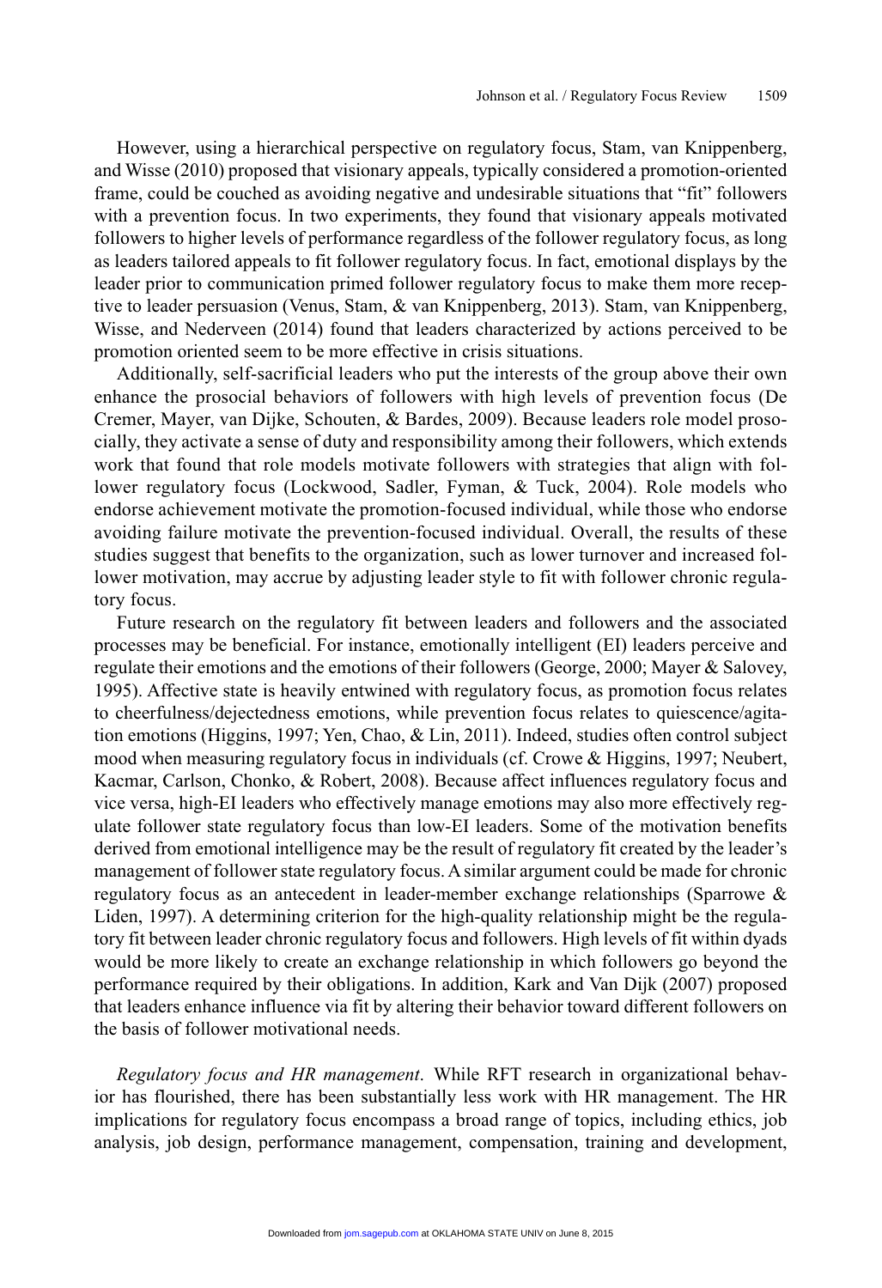However, using a hierarchical perspective on regulatory focus, Stam, van Knippenberg, and Wisse (2010) proposed that visionary appeals, typically considered a promotion-oriented frame, could be couched as avoiding negative and undesirable situations that "fit" followers with a prevention focus. In two experiments, they found that visionary appeals motivated followers to higher levels of performance regardless of the follower regulatory focus, as long as leaders tailored appeals to fit follower regulatory focus. In fact, emotional displays by the leader prior to communication primed follower regulatory focus to make them more receptive to leader persuasion (Venus, Stam, & van Knippenberg, 2013). Stam, van Knippenberg, Wisse, and Nederveen (2014) found that leaders characterized by actions perceived to be promotion oriented seem to be more effective in crisis situations.

Additionally, self-sacrificial leaders who put the interests of the group above their own enhance the prosocial behaviors of followers with high levels of prevention focus (De Cremer, Mayer, van Dijke, Schouten, & Bardes, 2009). Because leaders role model prosocially, they activate a sense of duty and responsibility among their followers, which extends work that found that role models motivate followers with strategies that align with follower regulatory focus (Lockwood, Sadler, Fyman, & Tuck, 2004). Role models who endorse achievement motivate the promotion-focused individual, while those who endorse avoiding failure motivate the prevention-focused individual. Overall, the results of these studies suggest that benefits to the organization, such as lower turnover and increased follower motivation, may accrue by adjusting leader style to fit with follower chronic regulatory focus.

Future research on the regulatory fit between leaders and followers and the associated processes may be beneficial. For instance, emotionally intelligent (EI) leaders perceive and regulate their emotions and the emotions of their followers (George, 2000; Mayer & Salovey, 1995). Affective state is heavily entwined with regulatory focus, as promotion focus relates to cheerfulness/dejectedness emotions, while prevention focus relates to quiescence/agitation emotions (Higgins, 1997; Yen, Chao, & Lin, 2011). Indeed, studies often control subject mood when measuring regulatory focus in individuals (cf. Crowe & Higgins, 1997; Neubert, Kacmar, Carlson, Chonko, & Robert, 2008). Because affect influences regulatory focus and vice versa, high-EI leaders who effectively manage emotions may also more effectively regulate follower state regulatory focus than low-EI leaders. Some of the motivation benefits derived from emotional intelligence may be the result of regulatory fit created by the leader's management of follower state regulatory focus. A similar argument could be made for chronic regulatory focus as an antecedent in leader-member exchange relationships (Sparrowe & Liden, 1997). A determining criterion for the high-quality relationship might be the regulatory fit between leader chronic regulatory focus and followers. High levels of fit within dyads would be more likely to create an exchange relationship in which followers go beyond the performance required by their obligations. In addition, Kark and Van Dijk (2007) proposed that leaders enhance influence via fit by altering their behavior toward different followers on the basis of follower motivational needs.

*Regulatory focus and HR management*. While RFT research in organizational behavior has flourished, there has been substantially less work with HR management. The HR implications for regulatory focus encompass a broad range of topics, including ethics, job analysis, job design, performance management, compensation, training and development,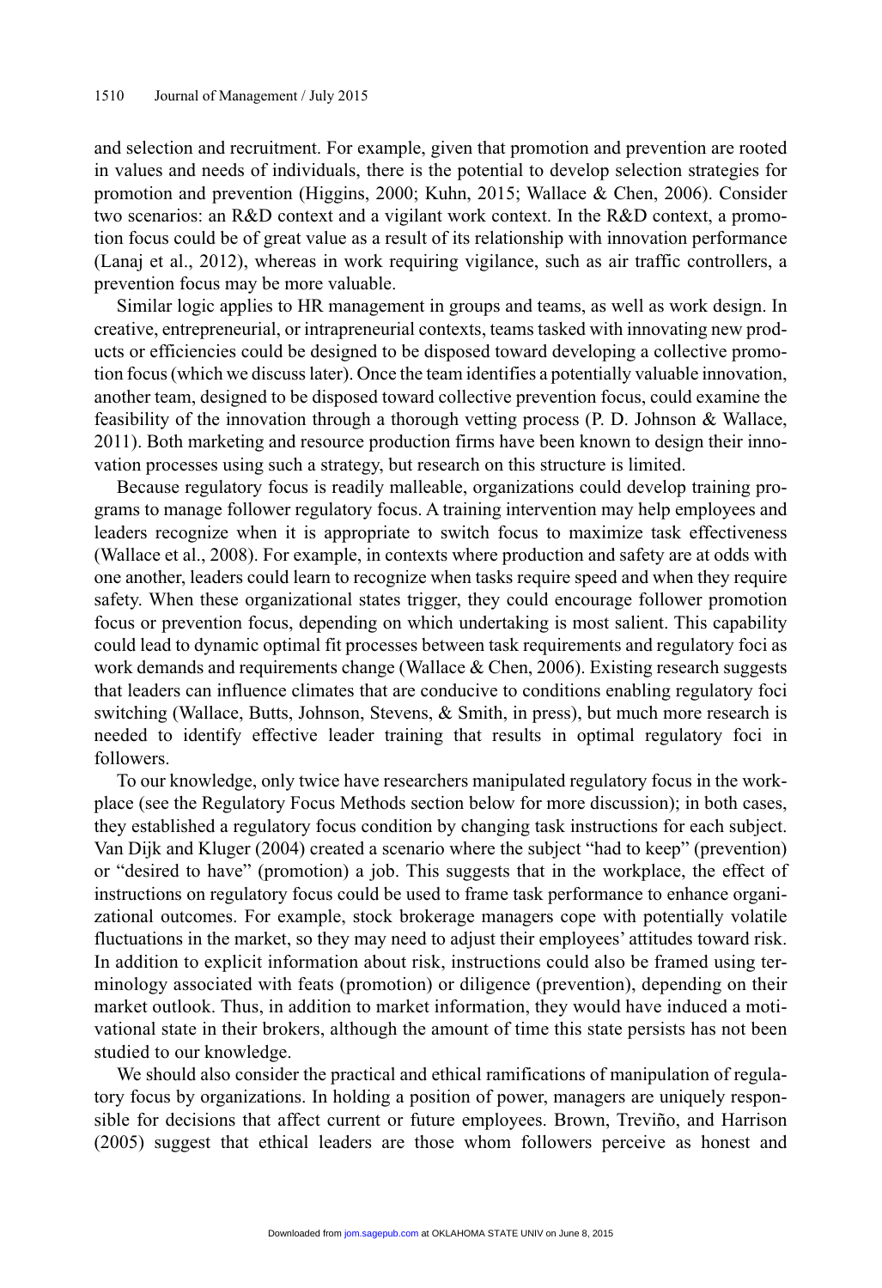and selection and recruitment. For example, given that promotion and prevention are rooted in values and needs of individuals, there is the potential to develop selection strategies for promotion and prevention (Higgins, 2000; Kuhn, 2015; Wallace & Chen, 2006). Consider two scenarios: an R&D context and a vigilant work context. In the R&D context, a promotion focus could be of great value as a result of its relationship with innovation performance (Lanaj et al., 2012), whereas in work requiring vigilance, such as air traffic controllers, a prevention focus may be more valuable.

Similar logic applies to HR management in groups and teams, as well as work design. In creative, entrepreneurial, or intrapreneurial contexts, teams tasked with innovating new products or efficiencies could be designed to be disposed toward developing a collective promotion focus (which we discuss later). Once the team identifies a potentially valuable innovation, another team, designed to be disposed toward collective prevention focus, could examine the feasibility of the innovation through a thorough vetting process (P. D. Johnson & Wallace, 2011). Both marketing and resource production firms have been known to design their innovation processes using such a strategy, but research on this structure is limited.

Because regulatory focus is readily malleable, organizations could develop training programs to manage follower regulatory focus. A training intervention may help employees and leaders recognize when it is appropriate to switch focus to maximize task effectiveness (Wallace et al., 2008). For example, in contexts where production and safety are at odds with one another, leaders could learn to recognize when tasks require speed and when they require safety. When these organizational states trigger, they could encourage follower promotion focus or prevention focus, depending on which undertaking is most salient. This capability could lead to dynamic optimal fit processes between task requirements and regulatory foci as work demands and requirements change (Wallace  $&$  Chen, 2006). Existing research suggests that leaders can influence climates that are conducive to conditions enabling regulatory foci switching (Wallace, Butts, Johnson, Stevens, & Smith, in press), but much more research is needed to identify effective leader training that results in optimal regulatory foci in followers.

To our knowledge, only twice have researchers manipulated regulatory focus in the workplace (see the Regulatory Focus Methods section below for more discussion); in both cases, they established a regulatory focus condition by changing task instructions for each subject. Van Dijk and Kluger (2004) created a scenario where the subject "had to keep" (prevention) or "desired to have" (promotion) a job. This suggests that in the workplace, the effect of instructions on regulatory focus could be used to frame task performance to enhance organizational outcomes. For example, stock brokerage managers cope with potentially volatile fluctuations in the market, so they may need to adjust their employees' attitudes toward risk. In addition to explicit information about risk, instructions could also be framed using terminology associated with feats (promotion) or diligence (prevention), depending on their market outlook. Thus, in addition to market information, they would have induced a motivational state in their brokers, although the amount of time this state persists has not been studied to our knowledge.

We should also consider the practical and ethical ramifications of manipulation of regulatory focus by organizations. In holding a position of power, managers are uniquely responsible for decisions that affect current or future employees. Brown, Treviño, and Harrison (2005) suggest that ethical leaders are those whom followers perceive as honest and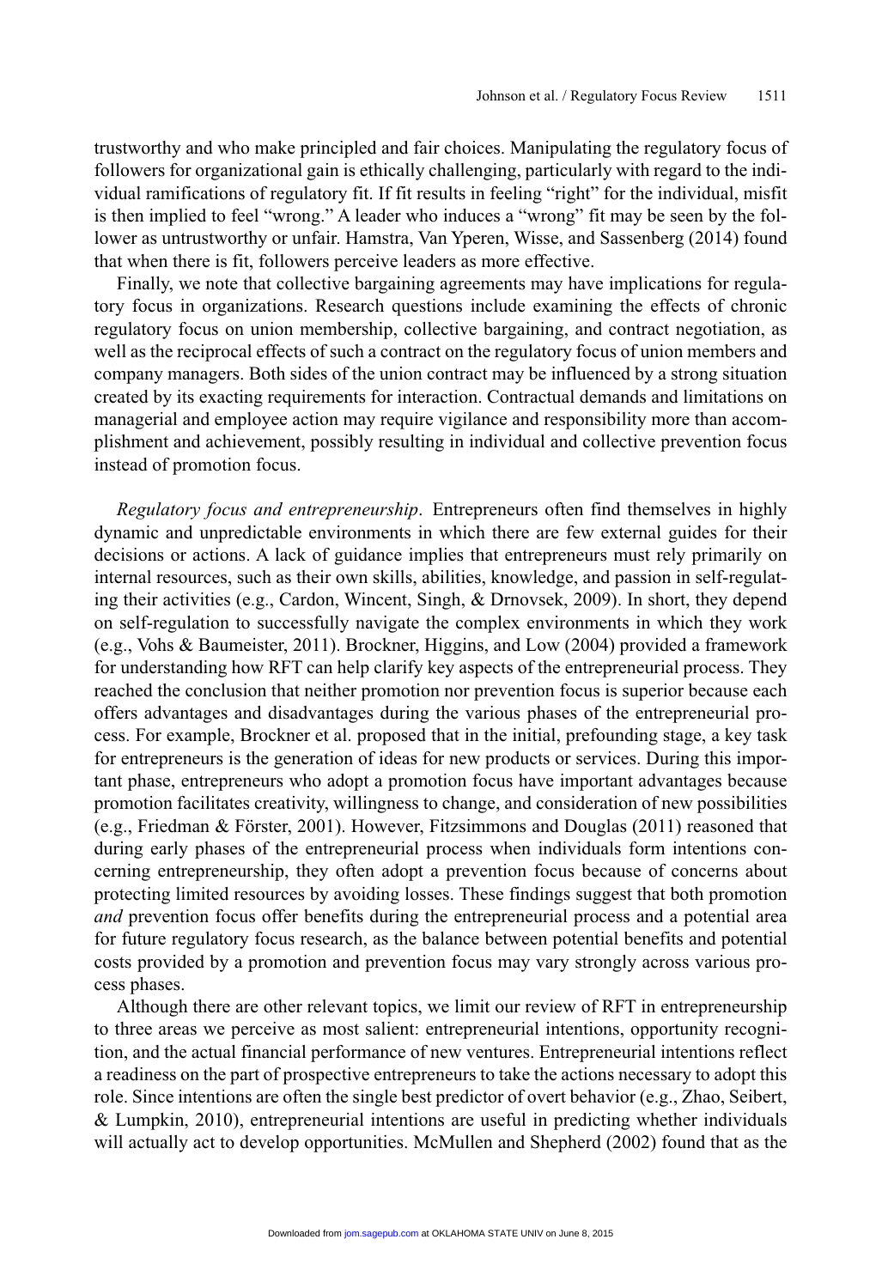trustworthy and who make principled and fair choices. Manipulating the regulatory focus of followers for organizational gain is ethically challenging, particularly with regard to the individual ramifications of regulatory fit. If fit results in feeling "right" for the individual, misfit is then implied to feel "wrong." A leader who induces a "wrong" fit may be seen by the follower as untrustworthy or unfair. Hamstra, Van Yperen, Wisse, and Sassenberg (2014) found that when there is fit, followers perceive leaders as more effective.

Finally, we note that collective bargaining agreements may have implications for regulatory focus in organizations. Research questions include examining the effects of chronic regulatory focus on union membership, collective bargaining, and contract negotiation, as well as the reciprocal effects of such a contract on the regulatory focus of union members and company managers. Both sides of the union contract may be influenced by a strong situation created by its exacting requirements for interaction. Contractual demands and limitations on managerial and employee action may require vigilance and responsibility more than accomplishment and achievement, possibly resulting in individual and collective prevention focus instead of promotion focus.

*Regulatory focus and entrepreneurship*. Entrepreneurs often find themselves in highly dynamic and unpredictable environments in which there are few external guides for their decisions or actions. A lack of guidance implies that entrepreneurs must rely primarily on internal resources, such as their own skills, abilities, knowledge, and passion in self-regulating their activities (e.g., Cardon, Wincent, Singh, & Drnovsek, 2009). In short, they depend on self-regulation to successfully navigate the complex environments in which they work (e.g., Vohs & Baumeister, 2011). Brockner, Higgins, and Low (2004) provided a framework for understanding how RFT can help clarify key aspects of the entrepreneurial process. They reached the conclusion that neither promotion nor prevention focus is superior because each offers advantages and disadvantages during the various phases of the entrepreneurial process. For example, Brockner et al. proposed that in the initial, prefounding stage, a key task for entrepreneurs is the generation of ideas for new products or services. During this important phase, entrepreneurs who adopt a promotion focus have important advantages because promotion facilitates creativity, willingness to change, and consideration of new possibilities (e.g., Friedman & Förster, 2001). However, Fitzsimmons and Douglas (2011) reasoned that during early phases of the entrepreneurial process when individuals form intentions concerning entrepreneurship, they often adopt a prevention focus because of concerns about protecting limited resources by avoiding losses. These findings suggest that both promotion *and* prevention focus offer benefits during the entrepreneurial process and a potential area for future regulatory focus research, as the balance between potential benefits and potential costs provided by a promotion and prevention focus may vary strongly across various process phases.

Although there are other relevant topics, we limit our review of RFT in entrepreneurship to three areas we perceive as most salient: entrepreneurial intentions, opportunity recognition, and the actual financial performance of new ventures. Entrepreneurial intentions reflect a readiness on the part of prospective entrepreneurs to take the actions necessary to adopt this role. Since intentions are often the single best predictor of overt behavior (e.g., Zhao, Seibert, & Lumpkin, 2010), entrepreneurial intentions are useful in predicting whether individuals will actually act to develop opportunities. McMullen and Shepherd (2002) found that as the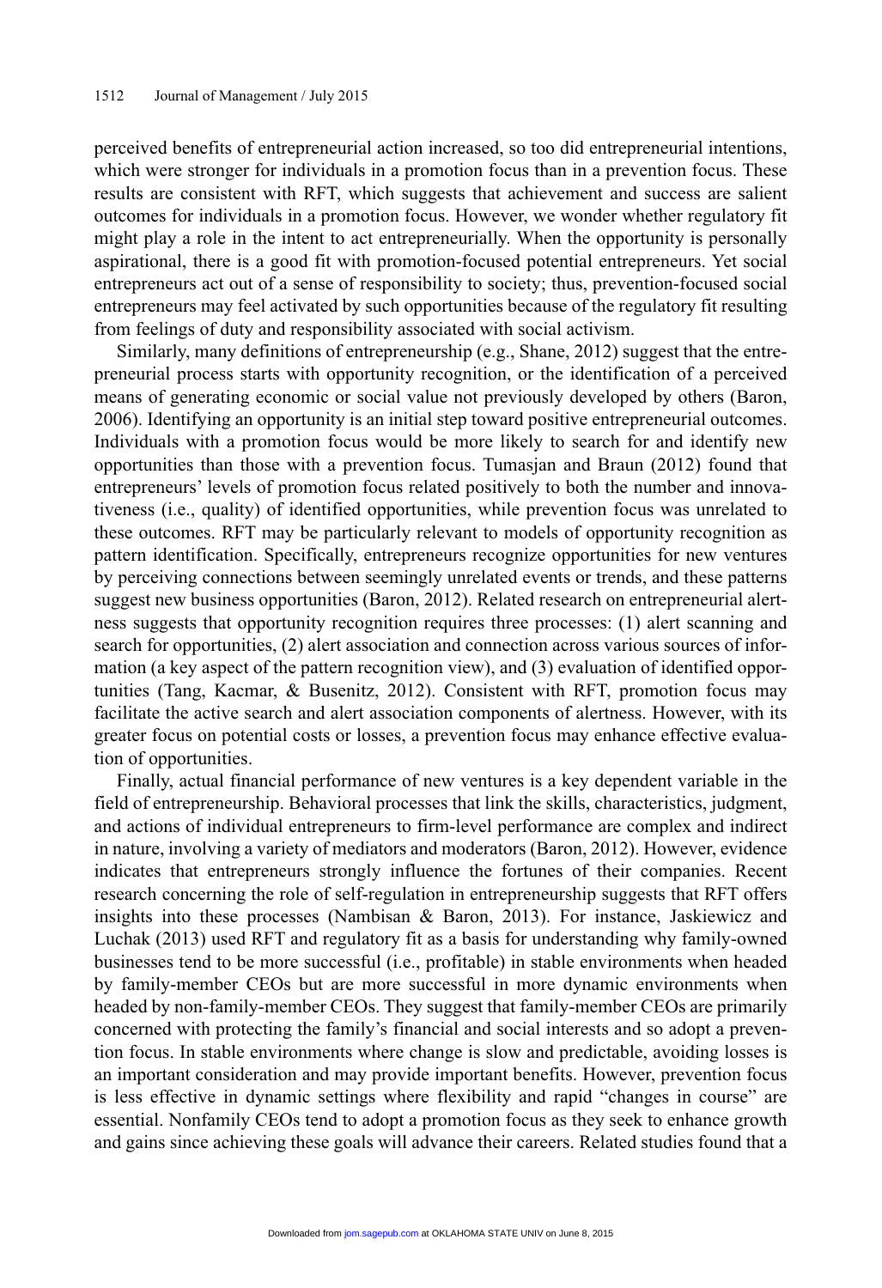perceived benefits of entrepreneurial action increased, so too did entrepreneurial intentions, which were stronger for individuals in a promotion focus than in a prevention focus. These results are consistent with RFT, which suggests that achievement and success are salient outcomes for individuals in a promotion focus. However, we wonder whether regulatory fit might play a role in the intent to act entrepreneurially. When the opportunity is personally aspirational, there is a good fit with promotion-focused potential entrepreneurs. Yet social entrepreneurs act out of a sense of responsibility to society; thus, prevention-focused social entrepreneurs may feel activated by such opportunities because of the regulatory fit resulting from feelings of duty and responsibility associated with social activism.

Similarly, many definitions of entrepreneurship (e.g., Shane, 2012) suggest that the entrepreneurial process starts with opportunity recognition, or the identification of a perceived means of generating economic or social value not previously developed by others (Baron, 2006). Identifying an opportunity is an initial step toward positive entrepreneurial outcomes. Individuals with a promotion focus would be more likely to search for and identify new opportunities than those with a prevention focus. Tumasjan and Braun (2012) found that entrepreneurs' levels of promotion focus related positively to both the number and innovativeness (i.e., quality) of identified opportunities, while prevention focus was unrelated to these outcomes. RFT may be particularly relevant to models of opportunity recognition as pattern identification. Specifically, entrepreneurs recognize opportunities for new ventures by perceiving connections between seemingly unrelated events or trends, and these patterns suggest new business opportunities (Baron, 2012). Related research on entrepreneurial alertness suggests that opportunity recognition requires three processes: (1) alert scanning and search for opportunities, (2) alert association and connection across various sources of information (a key aspect of the pattern recognition view), and (3) evaluation of identified opportunities (Tang, Kacmar, & Busenitz, 2012). Consistent with RFT, promotion focus may facilitate the active search and alert association components of alertness. However, with its greater focus on potential costs or losses, a prevention focus may enhance effective evaluation of opportunities.

Finally, actual financial performance of new ventures is a key dependent variable in the field of entrepreneurship. Behavioral processes that link the skills, characteristics, judgment, and actions of individual entrepreneurs to firm-level performance are complex and indirect in nature, involving a variety of mediators and moderators (Baron, 2012). However, evidence indicates that entrepreneurs strongly influence the fortunes of their companies. Recent research concerning the role of self-regulation in entrepreneurship suggests that RFT offers insights into these processes (Nambisan & Baron, 2013). For instance, Jaskiewicz and Luchak (2013) used RFT and regulatory fit as a basis for understanding why family-owned businesses tend to be more successful (i.e., profitable) in stable environments when headed by family-member CEOs but are more successful in more dynamic environments when headed by non-family-member CEOs. They suggest that family-member CEOs are primarily concerned with protecting the family's financial and social interests and so adopt a prevention focus. In stable environments where change is slow and predictable, avoiding losses is an important consideration and may provide important benefits. However, prevention focus is less effective in dynamic settings where flexibility and rapid "changes in course" are essential. Nonfamily CEOs tend to adopt a promotion focus as they seek to enhance growth and gains since achieving these goals will advance their careers. Related studies found that a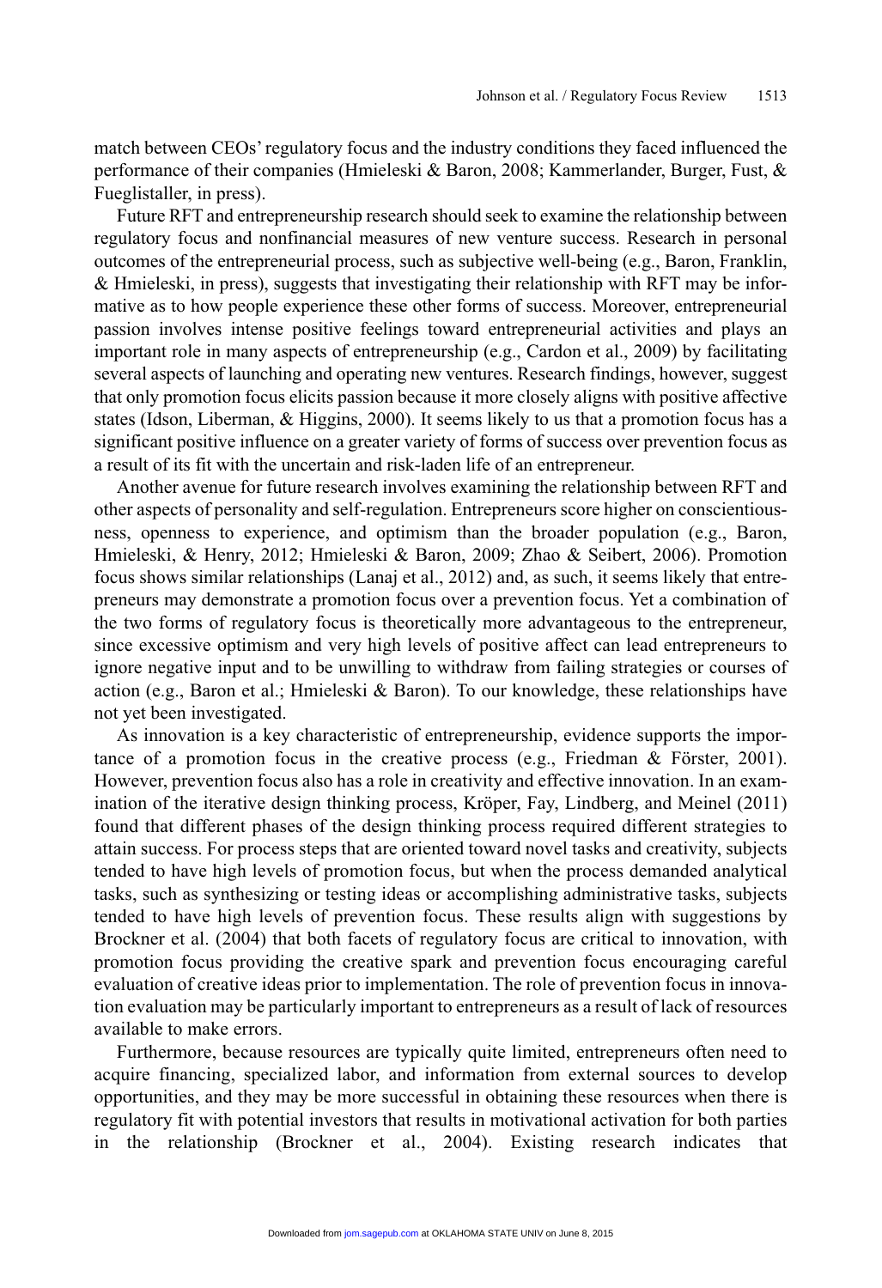match between CEOs' regulatory focus and the industry conditions they faced influenced the performance of their companies (Hmieleski & Baron, 2008; Kammerlander, Burger, Fust, & Fueglistaller, in press).

Future RFT and entrepreneurship research should seek to examine the relationship between regulatory focus and nonfinancial measures of new venture success. Research in personal outcomes of the entrepreneurial process, such as subjective well-being (e.g., Baron, Franklin, & Hmieleski, in press), suggests that investigating their relationship with RFT may be informative as to how people experience these other forms of success. Moreover, entrepreneurial passion involves intense positive feelings toward entrepreneurial activities and plays an important role in many aspects of entrepreneurship (e.g., Cardon et al., 2009) by facilitating several aspects of launching and operating new ventures. Research findings, however, suggest that only promotion focus elicits passion because it more closely aligns with positive affective states (Idson, Liberman, & Higgins, 2000). It seems likely to us that a promotion focus has a significant positive influence on a greater variety of forms of success over prevention focus as a result of its fit with the uncertain and risk-laden life of an entrepreneur.

Another avenue for future research involves examining the relationship between RFT and other aspects of personality and self-regulation. Entrepreneurs score higher on conscientiousness, openness to experience, and optimism than the broader population (e.g., Baron, Hmieleski, & Henry, 2012; Hmieleski & Baron, 2009; Zhao & Seibert, 2006). Promotion focus shows similar relationships (Lanaj et al., 2012) and, as such, it seems likely that entrepreneurs may demonstrate a promotion focus over a prevention focus. Yet a combination of the two forms of regulatory focus is theoretically more advantageous to the entrepreneur, since excessive optimism and very high levels of positive affect can lead entrepreneurs to ignore negative input and to be unwilling to withdraw from failing strategies or courses of action (e.g., Baron et al.; Hmieleski & Baron). To our knowledge, these relationships have not yet been investigated.

As innovation is a key characteristic of entrepreneurship, evidence supports the importance of a promotion focus in the creative process (e.g., Friedman & Förster, 2001). However, prevention focus also has a role in creativity and effective innovation. In an examination of the iterative design thinking process, Kröper, Fay, Lindberg, and Meinel (2011) found that different phases of the design thinking process required different strategies to attain success. For process steps that are oriented toward novel tasks and creativity, subjects tended to have high levels of promotion focus, but when the process demanded analytical tasks, such as synthesizing or testing ideas or accomplishing administrative tasks, subjects tended to have high levels of prevention focus. These results align with suggestions by Brockner et al. (2004) that both facets of regulatory focus are critical to innovation, with promotion focus providing the creative spark and prevention focus encouraging careful evaluation of creative ideas prior to implementation. The role of prevention focus in innovation evaluation may be particularly important to entrepreneurs as a result of lack of resources available to make errors.

Furthermore, because resources are typically quite limited, entrepreneurs often need to acquire financing, specialized labor, and information from external sources to develop opportunities, and they may be more successful in obtaining these resources when there is regulatory fit with potential investors that results in motivational activation for both parties in the relationship (Brockner et al., 2004). Existing research indicates that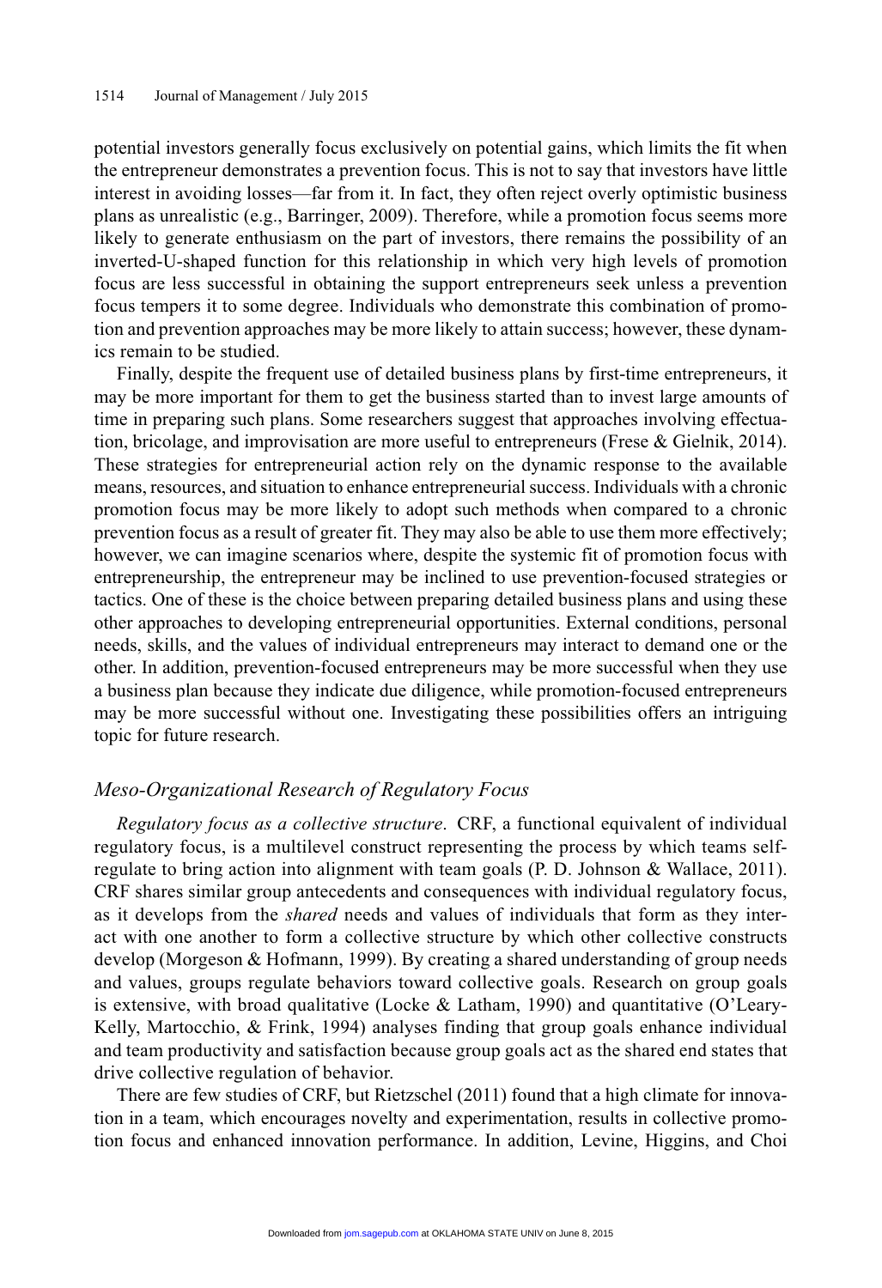potential investors generally focus exclusively on potential gains, which limits the fit when the entrepreneur demonstrates a prevention focus. This is not to say that investors have little interest in avoiding losses—far from it. In fact, they often reject overly optimistic business plans as unrealistic (e.g., Barringer, 2009). Therefore, while a promotion focus seems more likely to generate enthusiasm on the part of investors, there remains the possibility of an inverted-U-shaped function for this relationship in which very high levels of promotion focus are less successful in obtaining the support entrepreneurs seek unless a prevention focus tempers it to some degree. Individuals who demonstrate this combination of promotion and prevention approaches may be more likely to attain success; however, these dynamics remain to be studied.

Finally, despite the frequent use of detailed business plans by first-time entrepreneurs, it may be more important for them to get the business started than to invest large amounts of time in preparing such plans. Some researchers suggest that approaches involving effectuation, bricolage, and improvisation are more useful to entrepreneurs (Frese & Gielnik, 2014). These strategies for entrepreneurial action rely on the dynamic response to the available means, resources, and situation to enhance entrepreneurial success. Individuals with a chronic promotion focus may be more likely to adopt such methods when compared to a chronic prevention focus as a result of greater fit. They may also be able to use them more effectively; however, we can imagine scenarios where, despite the systemic fit of promotion focus with entrepreneurship, the entrepreneur may be inclined to use prevention-focused strategies or tactics. One of these is the choice between preparing detailed business plans and using these other approaches to developing entrepreneurial opportunities. External conditions, personal needs, skills, and the values of individual entrepreneurs may interact to demand one or the other. In addition, prevention-focused entrepreneurs may be more successful when they use a business plan because they indicate due diligence, while promotion-focused entrepreneurs may be more successful without one. Investigating these possibilities offers an intriguing topic for future research.

#### *Meso-Organizational Research of Regulatory Focus*

*Regulatory focus as a collective structure*. CRF, a functional equivalent of individual regulatory focus, is a multilevel construct representing the process by which teams selfregulate to bring action into alignment with team goals (P. D. Johnson & Wallace, 2011). CRF shares similar group antecedents and consequences with individual regulatory focus, as it develops from the *shared* needs and values of individuals that form as they interact with one another to form a collective structure by which other collective constructs develop (Morgeson & Hofmann, 1999). By creating a shared understanding of group needs and values, groups regulate behaviors toward collective goals. Research on group goals is extensive, with broad qualitative (Locke  $\&$  Latham, 1990) and quantitative (O'Leary-Kelly, Martocchio, & Frink, 1994) analyses finding that group goals enhance individual and team productivity and satisfaction because group goals act as the shared end states that drive collective regulation of behavior.

There are few studies of CRF, but Rietzschel (2011) found that a high climate for innovation in a team, which encourages novelty and experimentation, results in collective promotion focus and enhanced innovation performance. In addition, Levine, Higgins, and Choi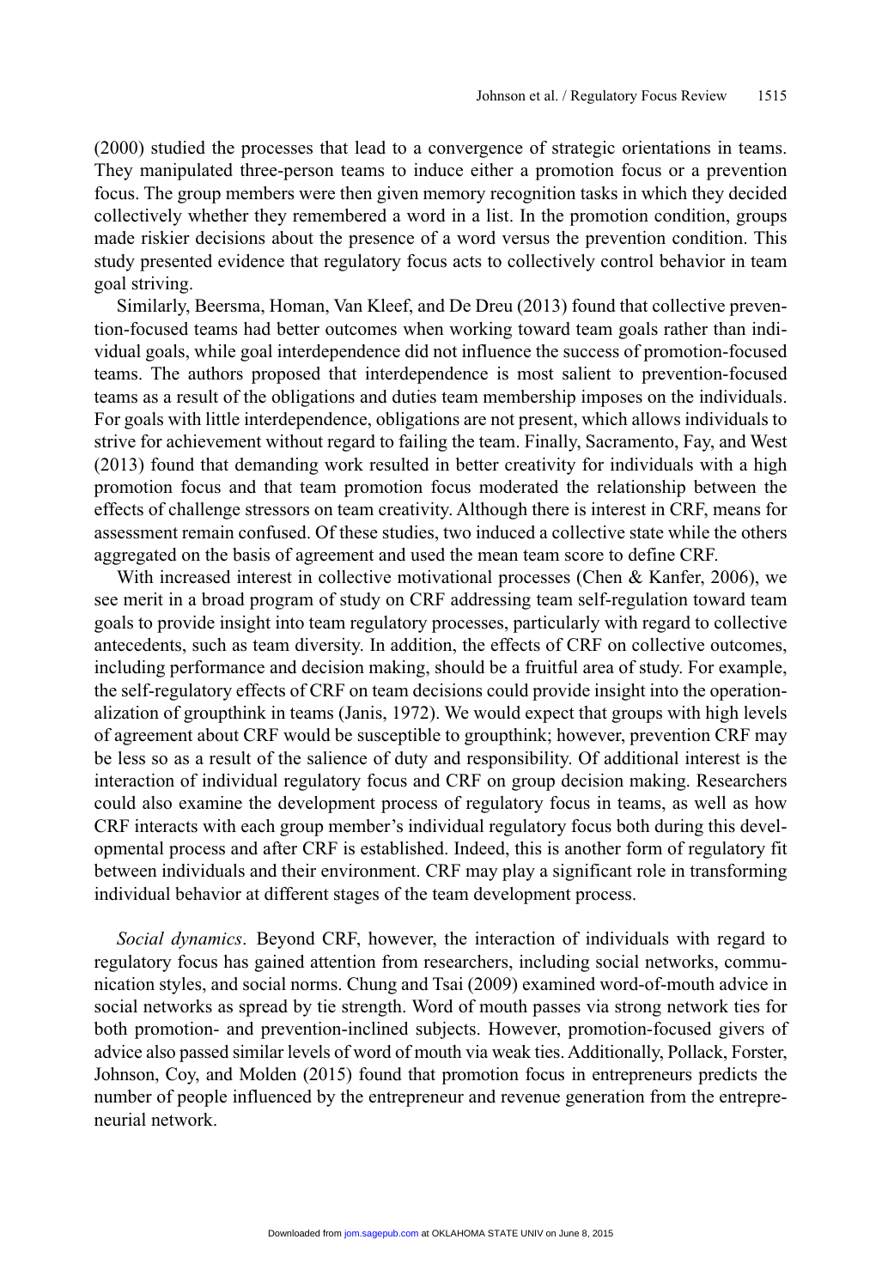(2000) studied the processes that lead to a convergence of strategic orientations in teams. They manipulated three-person teams to induce either a promotion focus or a prevention focus. The group members were then given memory recognition tasks in which they decided collectively whether they remembered a word in a list. In the promotion condition, groups made riskier decisions about the presence of a word versus the prevention condition. This study presented evidence that regulatory focus acts to collectively control behavior in team goal striving.

Similarly, Beersma, Homan, Van Kleef, and De Dreu (2013) found that collective prevention-focused teams had better outcomes when working toward team goals rather than individual goals, while goal interdependence did not influence the success of promotion-focused teams. The authors proposed that interdependence is most salient to prevention-focused teams as a result of the obligations and duties team membership imposes on the individuals. For goals with little interdependence, obligations are not present, which allows individuals to strive for achievement without regard to failing the team. Finally, Sacramento, Fay, and West (2013) found that demanding work resulted in better creativity for individuals with a high promotion focus and that team promotion focus moderated the relationship between the effects of challenge stressors on team creativity. Although there is interest in CRF, means for assessment remain confused. Of these studies, two induced a collective state while the others aggregated on the basis of agreement and used the mean team score to define CRF.

With increased interest in collective motivational processes (Chen & Kanfer, 2006), we see merit in a broad program of study on CRF addressing team self-regulation toward team goals to provide insight into team regulatory processes, particularly with regard to collective antecedents, such as team diversity. In addition, the effects of CRF on collective outcomes, including performance and decision making, should be a fruitful area of study. For example, the self-regulatory effects of CRF on team decisions could provide insight into the operationalization of groupthink in teams (Janis, 1972). We would expect that groups with high levels of agreement about CRF would be susceptible to groupthink; however, prevention CRF may be less so as a result of the salience of duty and responsibility. Of additional interest is the interaction of individual regulatory focus and CRF on group decision making. Researchers could also examine the development process of regulatory focus in teams, as well as how CRF interacts with each group member's individual regulatory focus both during this developmental process and after CRF is established. Indeed, this is another form of regulatory fit between individuals and their environment. CRF may play a significant role in transforming individual behavior at different stages of the team development process.

*Social dynamics*. Beyond CRF, however, the interaction of individuals with regard to regulatory focus has gained attention from researchers, including social networks, communication styles, and social norms. Chung and Tsai (2009) examined word-of-mouth advice in social networks as spread by tie strength. Word of mouth passes via strong network ties for both promotion- and prevention-inclined subjects. However, promotion-focused givers of advice also passed similar levels of word of mouth via weak ties. Additionally, Pollack, Forster, Johnson, Coy, and Molden (2015) found that promotion focus in entrepreneurs predicts the number of people influenced by the entrepreneur and revenue generation from the entrepreneurial network.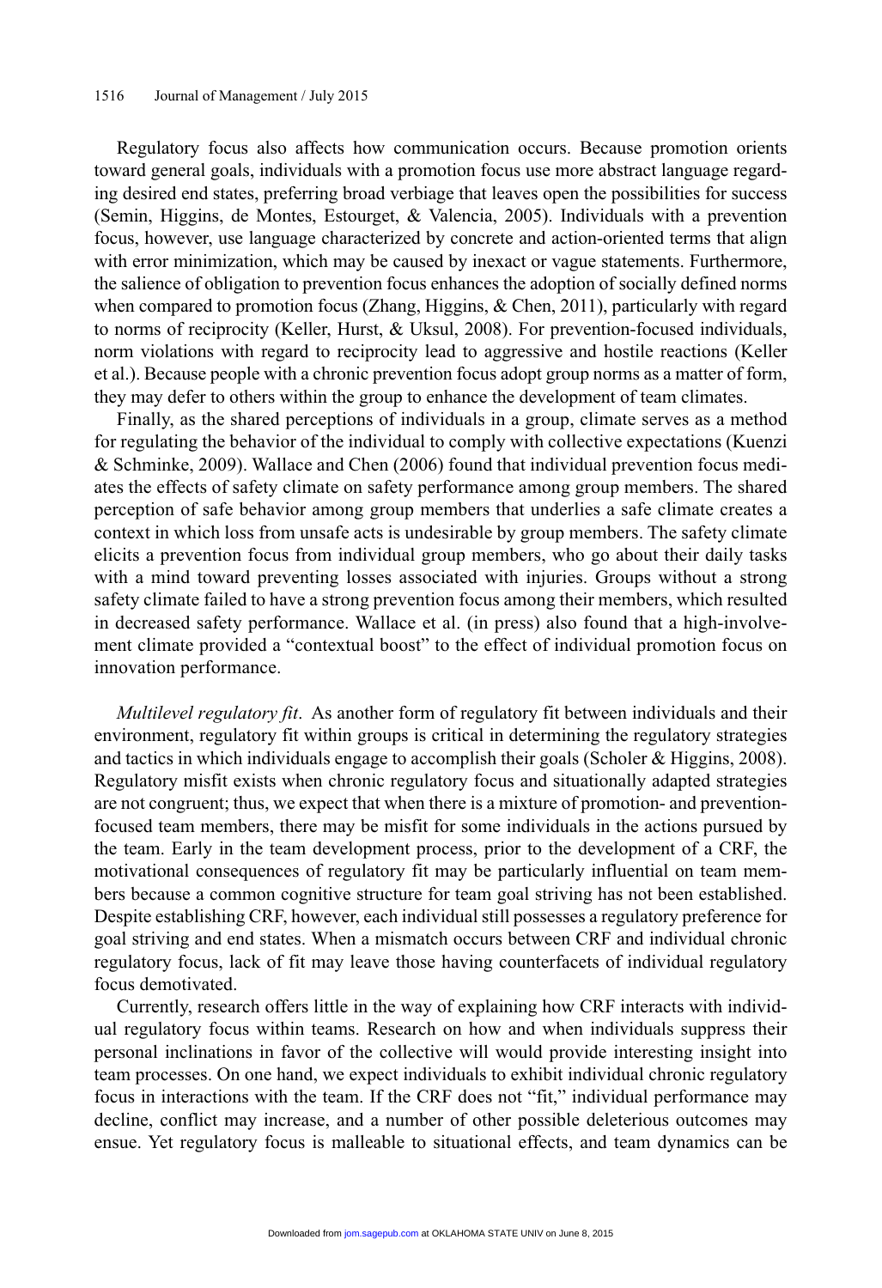Regulatory focus also affects how communication occurs. Because promotion orients toward general goals, individuals with a promotion focus use more abstract language regarding desired end states, preferring broad verbiage that leaves open the possibilities for success (Semin, Higgins, de Montes, Estourget, & Valencia, 2005). Individuals with a prevention focus, however, use language characterized by concrete and action-oriented terms that align with error minimization, which may be caused by inexact or vague statements. Furthermore, the salience of obligation to prevention focus enhances the adoption of socially defined norms when compared to promotion focus (Zhang, Higgins, & Chen, 2011), particularly with regard to norms of reciprocity (Keller, Hurst, & Uksul, 2008). For prevention-focused individuals, norm violations with regard to reciprocity lead to aggressive and hostile reactions (Keller et al.). Because people with a chronic prevention focus adopt group norms as a matter of form, they may defer to others within the group to enhance the development of team climates.

Finally, as the shared perceptions of individuals in a group, climate serves as a method for regulating the behavior of the individual to comply with collective expectations (Kuenzi & Schminke, 2009). Wallace and Chen (2006) found that individual prevention focus mediates the effects of safety climate on safety performance among group members. The shared perception of safe behavior among group members that underlies a safe climate creates a context in which loss from unsafe acts is undesirable by group members. The safety climate elicits a prevention focus from individual group members, who go about their daily tasks with a mind toward preventing losses associated with injuries. Groups without a strong safety climate failed to have a strong prevention focus among their members, which resulted in decreased safety performance. Wallace et al. (in press) also found that a high-involvement climate provided a "contextual boost" to the effect of individual promotion focus on innovation performance.

*Multilevel regulatory fit*. As another form of regulatory fit between individuals and their environment, regulatory fit within groups is critical in determining the regulatory strategies and tactics in which individuals engage to accomplish their goals (Scholer & Higgins, 2008). Regulatory misfit exists when chronic regulatory focus and situationally adapted strategies are not congruent; thus, we expect that when there is a mixture of promotion- and preventionfocused team members, there may be misfit for some individuals in the actions pursued by the team. Early in the team development process, prior to the development of a CRF, the motivational consequences of regulatory fit may be particularly influential on team members because a common cognitive structure for team goal striving has not been established. Despite establishing CRF, however, each individual still possesses a regulatory preference for goal striving and end states. When a mismatch occurs between CRF and individual chronic regulatory focus, lack of fit may leave those having counterfacets of individual regulatory focus demotivated.

Currently, research offers little in the way of explaining how CRF interacts with individual regulatory focus within teams. Research on how and when individuals suppress their personal inclinations in favor of the collective will would provide interesting insight into team processes. On one hand, we expect individuals to exhibit individual chronic regulatory focus in interactions with the team. If the CRF does not "fit," individual performance may decline, conflict may increase, and a number of other possible deleterious outcomes may ensue. Yet regulatory focus is malleable to situational effects, and team dynamics can be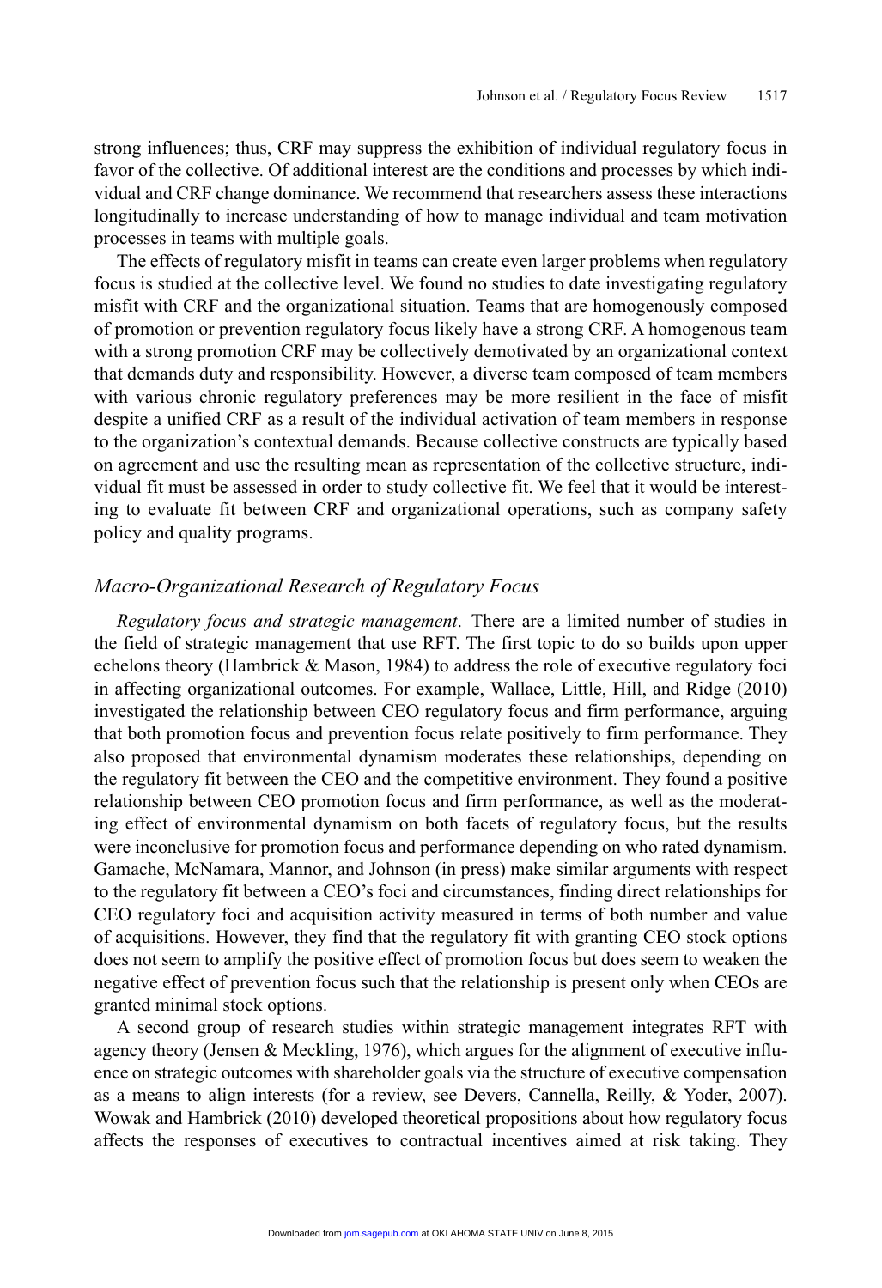strong influences; thus, CRF may suppress the exhibition of individual regulatory focus in favor of the collective. Of additional interest are the conditions and processes by which individual and CRF change dominance. We recommend that researchers assess these interactions longitudinally to increase understanding of how to manage individual and team motivation processes in teams with multiple goals.

The effects of regulatory misfit in teams can create even larger problems when regulatory focus is studied at the collective level. We found no studies to date investigating regulatory misfit with CRF and the organizational situation. Teams that are homogenously composed of promotion or prevention regulatory focus likely have a strong CRF. A homogenous team with a strong promotion CRF may be collectively demotivated by an organizational context that demands duty and responsibility. However, a diverse team composed of team members with various chronic regulatory preferences may be more resilient in the face of misfit despite a unified CRF as a result of the individual activation of team members in response to the organization's contextual demands. Because collective constructs are typically based on agreement and use the resulting mean as representation of the collective structure, individual fit must be assessed in order to study collective fit. We feel that it would be interesting to evaluate fit between CRF and organizational operations, such as company safety policy and quality programs.

#### *Macro-Organizational Research of Regulatory Focus*

*Regulatory focus and strategic management*. There are a limited number of studies in the field of strategic management that use RFT. The first topic to do so builds upon upper echelons theory (Hambrick & Mason, 1984) to address the role of executive regulatory foci in affecting organizational outcomes. For example, Wallace, Little, Hill, and Ridge (2010) investigated the relationship between CEO regulatory focus and firm performance, arguing that both promotion focus and prevention focus relate positively to firm performance. They also proposed that environmental dynamism moderates these relationships, depending on the regulatory fit between the CEO and the competitive environment. They found a positive relationship between CEO promotion focus and firm performance, as well as the moderating effect of environmental dynamism on both facets of regulatory focus, but the results were inconclusive for promotion focus and performance depending on who rated dynamism. Gamache, McNamara, Mannor, and Johnson (in press) make similar arguments with respect to the regulatory fit between a CEO's foci and circumstances, finding direct relationships for CEO regulatory foci and acquisition activity measured in terms of both number and value of acquisitions. However, they find that the regulatory fit with granting CEO stock options does not seem to amplify the positive effect of promotion focus but does seem to weaken the negative effect of prevention focus such that the relationship is present only when CEOs are granted minimal stock options.

A second group of research studies within strategic management integrates RFT with agency theory (Jensen & Meckling, 1976), which argues for the alignment of executive influence on strategic outcomes with shareholder goals via the structure of executive compensation as a means to align interests (for a review, see Devers, Cannella, Reilly, & Yoder, 2007). Wowak and Hambrick (2010) developed theoretical propositions about how regulatory focus affects the responses of executives to contractual incentives aimed at risk taking. They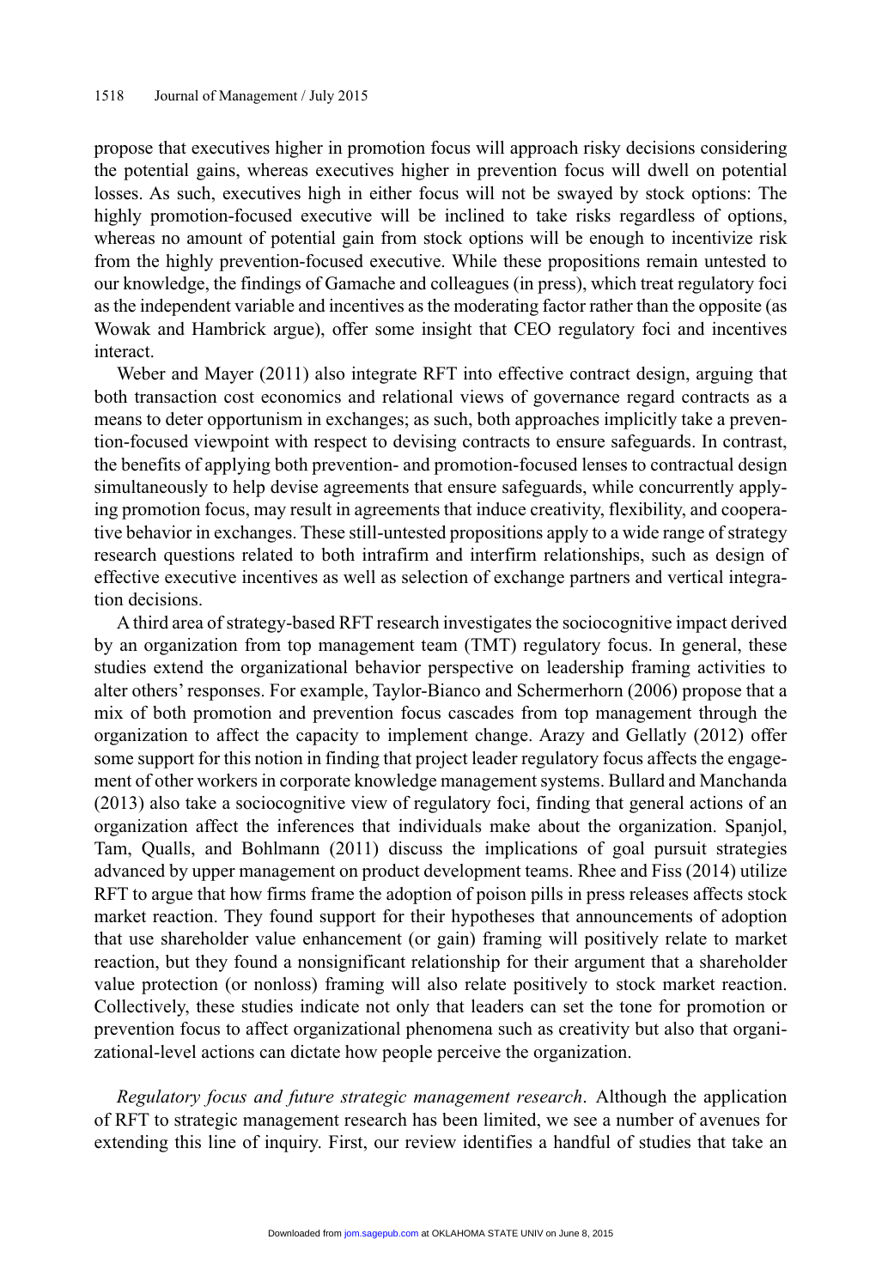propose that executives higher in promotion focus will approach risky decisions considering the potential gains, whereas executives higher in prevention focus will dwell on potential losses. As such, executives high in either focus will not be swayed by stock options: The highly promotion-focused executive will be inclined to take risks regardless of options, whereas no amount of potential gain from stock options will be enough to incentivize risk from the highly prevention-focused executive. While these propositions remain untested to our knowledge, the findings of Gamache and colleagues (in press), which treat regulatory foci as the independent variable and incentives as the moderating factor rather than the opposite (as Wowak and Hambrick argue), offer some insight that CEO regulatory foci and incentives interact.

Weber and Mayer (2011) also integrate RFT into effective contract design, arguing that both transaction cost economics and relational views of governance regard contracts as a means to deter opportunism in exchanges; as such, both approaches implicitly take a prevention-focused viewpoint with respect to devising contracts to ensure safeguards. In contrast, the benefits of applying both prevention- and promotion-focused lenses to contractual design simultaneously to help devise agreements that ensure safeguards, while concurrently applying promotion focus, may result in agreements that induce creativity, flexibility, and cooperative behavior in exchanges. These still-untested propositions apply to a wide range of strategy research questions related to both intrafirm and interfirm relationships, such as design of effective executive incentives as well as selection of exchange partners and vertical integration decisions.

A third area of strategy-based RFT research investigates the sociocognitive impact derived by an organization from top management team (TMT) regulatory focus. In general, these studies extend the organizational behavior perspective on leadership framing activities to alter others' responses. For example, Taylor-Bianco and Schermerhorn (2006) propose that a mix of both promotion and prevention focus cascades from top management through the organization to affect the capacity to implement change. Arazy and Gellatly (2012) offer some support for this notion in finding that project leader regulatory focus affects the engagement of other workers in corporate knowledge management systems. Bullard and Manchanda (2013) also take a sociocognitive view of regulatory foci, finding that general actions of an organization affect the inferences that individuals make about the organization. Spanjol, Tam, Qualls, and Bohlmann (2011) discuss the implications of goal pursuit strategies advanced by upper management on product development teams. Rhee and Fiss (2014) utilize RFT to argue that how firms frame the adoption of poison pills in press releases affects stock market reaction. They found support for their hypotheses that announcements of adoption that use shareholder value enhancement (or gain) framing will positively relate to market reaction, but they found a nonsignificant relationship for their argument that a shareholder value protection (or nonloss) framing will also relate positively to stock market reaction. Collectively, these studies indicate not only that leaders can set the tone for promotion or prevention focus to affect organizational phenomena such as creativity but also that organizational-level actions can dictate how people perceive the organization.

*Regulatory focus and future strategic management research*. Although the application of RFT to strategic management research has been limited, we see a number of avenues for extending this line of inquiry. First, our review identifies a handful of studies that take an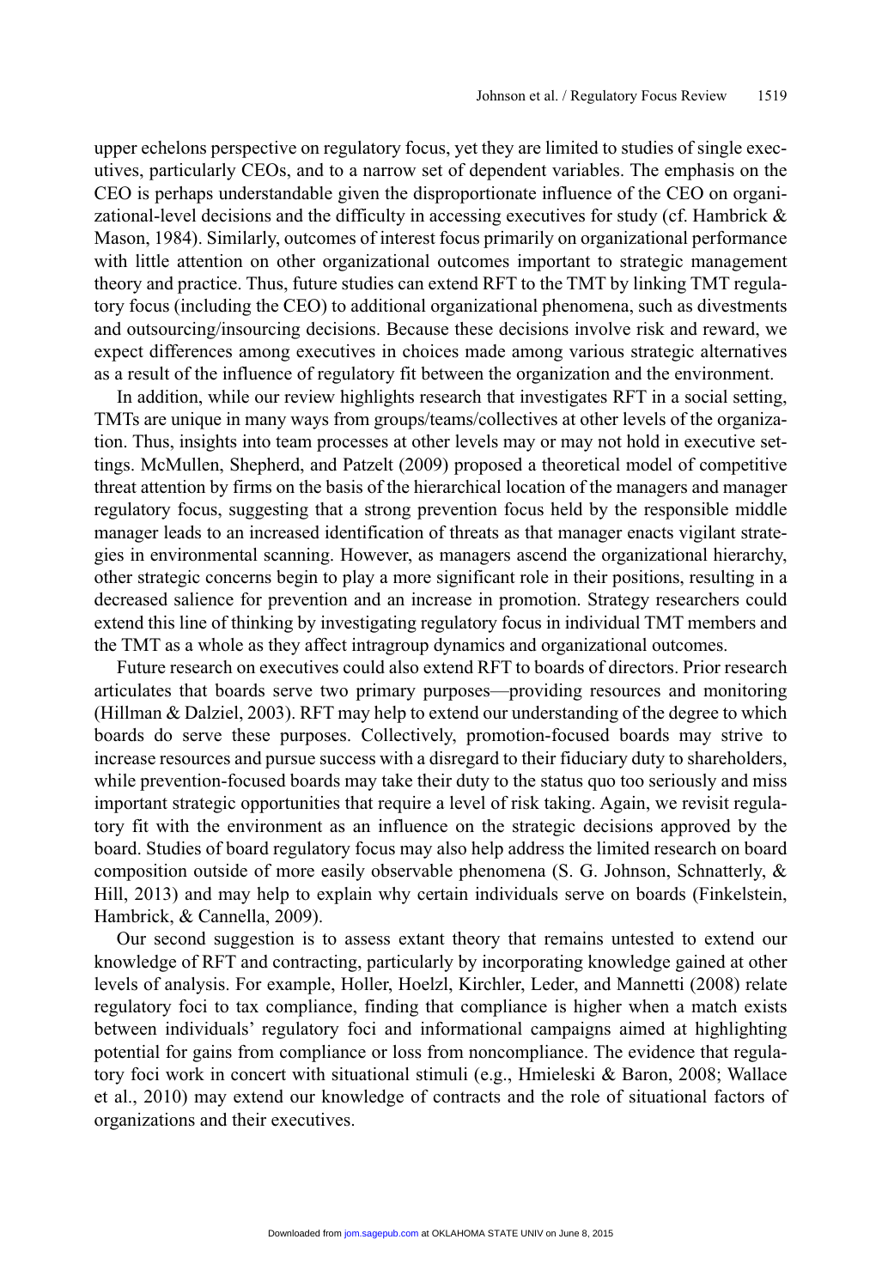upper echelons perspective on regulatory focus, yet they are limited to studies of single executives, particularly CEOs, and to a narrow set of dependent variables. The emphasis on the CEO is perhaps understandable given the disproportionate influence of the CEO on organizational-level decisions and the difficulty in accessing executives for study (cf. Hambrick  $\&$ Mason, 1984). Similarly, outcomes of interest focus primarily on organizational performance with little attention on other organizational outcomes important to strategic management theory and practice. Thus, future studies can extend RFT to the TMT by linking TMT regulatory focus (including the CEO) to additional organizational phenomena, such as divestments and outsourcing/insourcing decisions. Because these decisions involve risk and reward, we expect differences among executives in choices made among various strategic alternatives as a result of the influence of regulatory fit between the organization and the environment.

In addition, while our review highlights research that investigates RFT in a social setting, TMTs are unique in many ways from groups/teams/collectives at other levels of the organization. Thus, insights into team processes at other levels may or may not hold in executive settings. McMullen, Shepherd, and Patzelt (2009) proposed a theoretical model of competitive threat attention by firms on the basis of the hierarchical location of the managers and manager regulatory focus, suggesting that a strong prevention focus held by the responsible middle manager leads to an increased identification of threats as that manager enacts vigilant strategies in environmental scanning. However, as managers ascend the organizational hierarchy, other strategic concerns begin to play a more significant role in their positions, resulting in a decreased salience for prevention and an increase in promotion. Strategy researchers could extend this line of thinking by investigating regulatory focus in individual TMT members and the TMT as a whole as they affect intragroup dynamics and organizational outcomes.

Future research on executives could also extend RFT to boards of directors. Prior research articulates that boards serve two primary purposes—providing resources and monitoring (Hillman & Dalziel, 2003). RFT may help to extend our understanding of the degree to which boards do serve these purposes. Collectively, promotion-focused boards may strive to increase resources and pursue success with a disregard to their fiduciary duty to shareholders, while prevention-focused boards may take their duty to the status quo too seriously and miss important strategic opportunities that require a level of risk taking. Again, we revisit regulatory fit with the environment as an influence on the strategic decisions approved by the board. Studies of board regulatory focus may also help address the limited research on board composition outside of more easily observable phenomena (S. G. Johnson, Schnatterly, & Hill, 2013) and may help to explain why certain individuals serve on boards (Finkelstein, Hambrick, & Cannella, 2009).

Our second suggestion is to assess extant theory that remains untested to extend our knowledge of RFT and contracting, particularly by incorporating knowledge gained at other levels of analysis. For example, Holler, Hoelzl, Kirchler, Leder, and Mannetti (2008) relate regulatory foci to tax compliance, finding that compliance is higher when a match exists between individuals' regulatory foci and informational campaigns aimed at highlighting potential for gains from compliance or loss from noncompliance. The evidence that regulatory foci work in concert with situational stimuli (e.g., Hmieleski & Baron, 2008; Wallace et al., 2010) may extend our knowledge of contracts and the role of situational factors of organizations and their executives.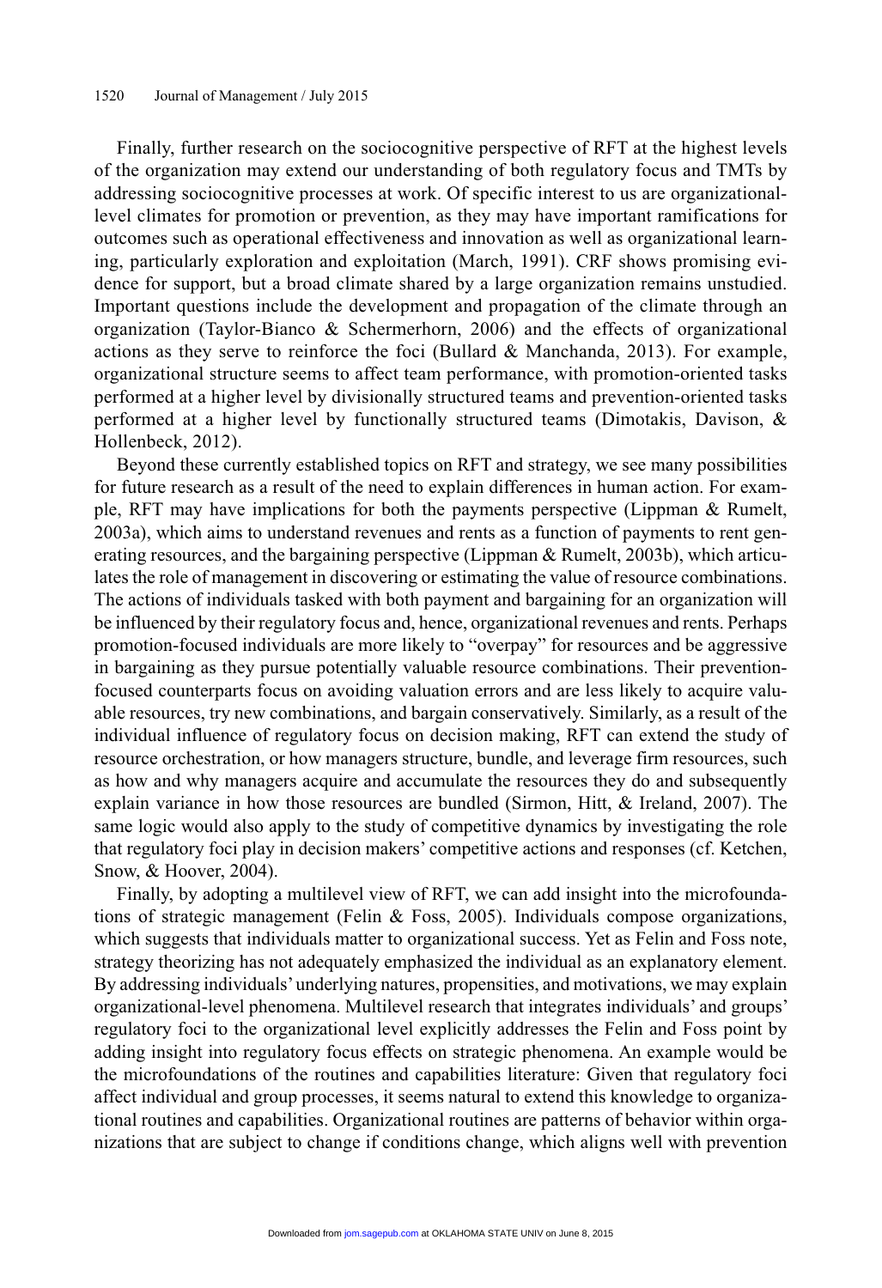Finally, further research on the sociocognitive perspective of RFT at the highest levels of the organization may extend our understanding of both regulatory focus and TMTs by addressing sociocognitive processes at work. Of specific interest to us are organizationallevel climates for promotion or prevention, as they may have important ramifications for outcomes such as operational effectiveness and innovation as well as organizational learning, particularly exploration and exploitation (March, 1991). CRF shows promising evidence for support, but a broad climate shared by a large organization remains unstudied. Important questions include the development and propagation of the climate through an organization (Taylor-Bianco & Schermerhorn, 2006) and the effects of organizational actions as they serve to reinforce the foci (Bullard  $\&$  Manchanda, 2013). For example, organizational structure seems to affect team performance, with promotion-oriented tasks performed at a higher level by divisionally structured teams and prevention-oriented tasks performed at a higher level by functionally structured teams (Dimotakis, Davison, & Hollenbeck, 2012).

Beyond these currently established topics on RFT and strategy, we see many possibilities for future research as a result of the need to explain differences in human action. For example, RFT may have implications for both the payments perspective (Lippman & Rumelt, 2003a), which aims to understand revenues and rents as a function of payments to rent generating resources, and the bargaining perspective (Lippman & Rumelt, 2003b), which articulates the role of management in discovering or estimating the value of resource combinations. The actions of individuals tasked with both payment and bargaining for an organization will be influenced by their regulatory focus and, hence, organizational revenues and rents. Perhaps promotion-focused individuals are more likely to "overpay" for resources and be aggressive in bargaining as they pursue potentially valuable resource combinations. Their preventionfocused counterparts focus on avoiding valuation errors and are less likely to acquire valuable resources, try new combinations, and bargain conservatively. Similarly, as a result of the individual influence of regulatory focus on decision making, RFT can extend the study of resource orchestration, or how managers structure, bundle, and leverage firm resources, such as how and why managers acquire and accumulate the resources they do and subsequently explain variance in how those resources are bundled (Sirmon, Hitt, & Ireland, 2007). The same logic would also apply to the study of competitive dynamics by investigating the role that regulatory foci play in decision makers' competitive actions and responses (cf. Ketchen, Snow, & Hoover, 2004).

Finally, by adopting a multilevel view of RFT, we can add insight into the microfoundations of strategic management (Felin & Foss, 2005). Individuals compose organizations, which suggests that individuals matter to organizational success. Yet as Felin and Foss note, strategy theorizing has not adequately emphasized the individual as an explanatory element. By addressing individuals' underlying natures, propensities, and motivations, we may explain organizational-level phenomena. Multilevel research that integrates individuals' and groups' regulatory foci to the organizational level explicitly addresses the Felin and Foss point by adding insight into regulatory focus effects on strategic phenomena. An example would be the microfoundations of the routines and capabilities literature: Given that regulatory foci affect individual and group processes, it seems natural to extend this knowledge to organizational routines and capabilities. Organizational routines are patterns of behavior within organizations that are subject to change if conditions change, which aligns well with prevention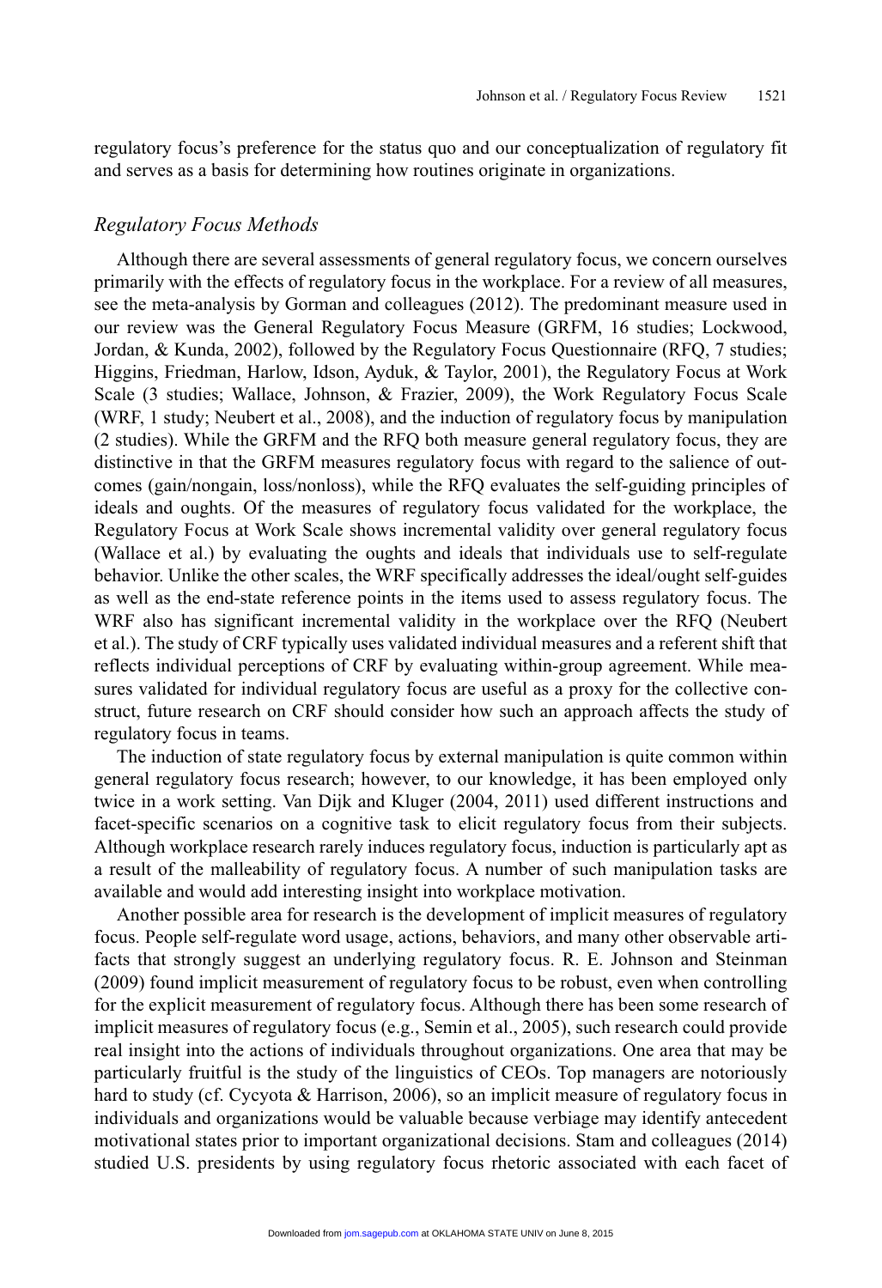regulatory focus's preference for the status quo and our conceptualization of regulatory fit and serves as a basis for determining how routines originate in organizations.

#### *Regulatory Focus Methods*

Although there are several assessments of general regulatory focus, we concern ourselves primarily with the effects of regulatory focus in the workplace. For a review of all measures, see the meta-analysis by Gorman and colleagues (2012). The predominant measure used in our review was the General Regulatory Focus Measure (GRFM, 16 studies; Lockwood, Jordan, & Kunda, 2002), followed by the Regulatory Focus Questionnaire (RFQ, 7 studies; Higgins, Friedman, Harlow, Idson, Ayduk, & Taylor, 2001), the Regulatory Focus at Work Scale (3 studies; Wallace, Johnson, & Frazier, 2009), the Work Regulatory Focus Scale (WRF, 1 study; Neubert et al., 2008), and the induction of regulatory focus by manipulation (2 studies). While the GRFM and the RFQ both measure general regulatory focus, they are distinctive in that the GRFM measures regulatory focus with regard to the salience of outcomes (gain/nongain, loss/nonloss), while the RFQ evaluates the self-guiding principles of ideals and oughts. Of the measures of regulatory focus validated for the workplace, the Regulatory Focus at Work Scale shows incremental validity over general regulatory focus (Wallace et al.) by evaluating the oughts and ideals that individuals use to self-regulate behavior. Unlike the other scales, the WRF specifically addresses the ideal/ought self-guides as well as the end-state reference points in the items used to assess regulatory focus. The WRF also has significant incremental validity in the workplace over the RFQ (Neubert et al.). The study of CRF typically uses validated individual measures and a referent shift that reflects individual perceptions of CRF by evaluating within-group agreement. While measures validated for individual regulatory focus are useful as a proxy for the collective construct, future research on CRF should consider how such an approach affects the study of regulatory focus in teams.

The induction of state regulatory focus by external manipulation is quite common within general regulatory focus research; however, to our knowledge, it has been employed only twice in a work setting. Van Dijk and Kluger (2004, 2011) used different instructions and facet-specific scenarios on a cognitive task to elicit regulatory focus from their subjects. Although workplace research rarely induces regulatory focus, induction is particularly apt as a result of the malleability of regulatory focus. A number of such manipulation tasks are available and would add interesting insight into workplace motivation.

Another possible area for research is the development of implicit measures of regulatory focus. People self-regulate word usage, actions, behaviors, and many other observable artifacts that strongly suggest an underlying regulatory focus. R. E. Johnson and Steinman (2009) found implicit measurement of regulatory focus to be robust, even when controlling for the explicit measurement of regulatory focus. Although there has been some research of implicit measures of regulatory focus (e.g., Semin et al., 2005), such research could provide real insight into the actions of individuals throughout organizations. One area that may be particularly fruitful is the study of the linguistics of CEOs. Top managers are notoriously hard to study (cf. Cycyota & Harrison, 2006), so an implicit measure of regulatory focus in individuals and organizations would be valuable because verbiage may identify antecedent motivational states prior to important organizational decisions. Stam and colleagues (2014) studied U.S. presidents by using regulatory focus rhetoric associated with each facet of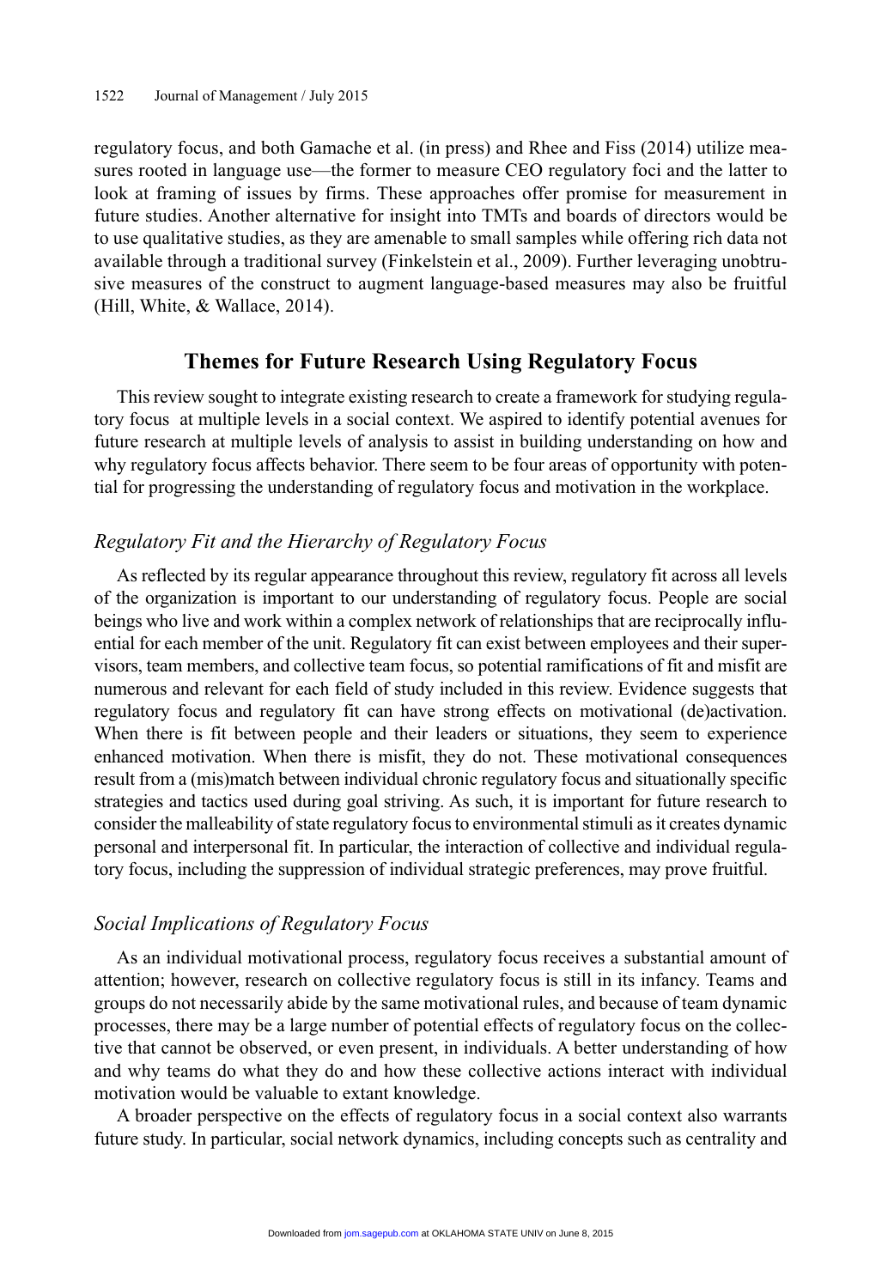regulatory focus, and both Gamache et al. (in press) and Rhee and Fiss (2014) utilize measures rooted in language use—the former to measure CEO regulatory foci and the latter to look at framing of issues by firms. These approaches offer promise for measurement in future studies. Another alternative for insight into TMTs and boards of directors would be to use qualitative studies, as they are amenable to small samples while offering rich data not available through a traditional survey (Finkelstein et al., 2009). Further leveraging unobtrusive measures of the construct to augment language-based measures may also be fruitful (Hill, White, & Wallace, 2014).

#### **Themes for Future Research Using Regulatory Focus**

This review sought to integrate existing research to create a framework for studying regulatory focus at multiple levels in a social context. We aspired to identify potential avenues for future research at multiple levels of analysis to assist in building understanding on how and why regulatory focus affects behavior. There seem to be four areas of opportunity with potential for progressing the understanding of regulatory focus and motivation in the workplace.

#### *Regulatory Fit and the Hierarchy of Regulatory Focus*

As reflected by its regular appearance throughout this review, regulatory fit across all levels of the organization is important to our understanding of regulatory focus. People are social beings who live and work within a complex network of relationships that are reciprocally influential for each member of the unit. Regulatory fit can exist between employees and their supervisors, team members, and collective team focus, so potential ramifications of fit and misfit are numerous and relevant for each field of study included in this review. Evidence suggests that regulatory focus and regulatory fit can have strong effects on motivational (de)activation. When there is fit between people and their leaders or situations, they seem to experience enhanced motivation. When there is misfit, they do not. These motivational consequences result from a (mis)match between individual chronic regulatory focus and situationally specific strategies and tactics used during goal striving. As such, it is important for future research to consider the malleability of state regulatory focus to environmental stimuli as it creates dynamic personal and interpersonal fit. In particular, the interaction of collective and individual regulatory focus, including the suppression of individual strategic preferences, may prove fruitful.

#### *Social Implications of Regulatory Focus*

As an individual motivational process, regulatory focus receives a substantial amount of attention; however, research on collective regulatory focus is still in its infancy. Teams and groups do not necessarily abide by the same motivational rules, and because of team dynamic processes, there may be a large number of potential effects of regulatory focus on the collective that cannot be observed, or even present, in individuals. A better understanding of how and why teams do what they do and how these collective actions interact with individual motivation would be valuable to extant knowledge.

A broader perspective on the effects of regulatory focus in a social context also warrants future study. In particular, social network dynamics, including concepts such as centrality and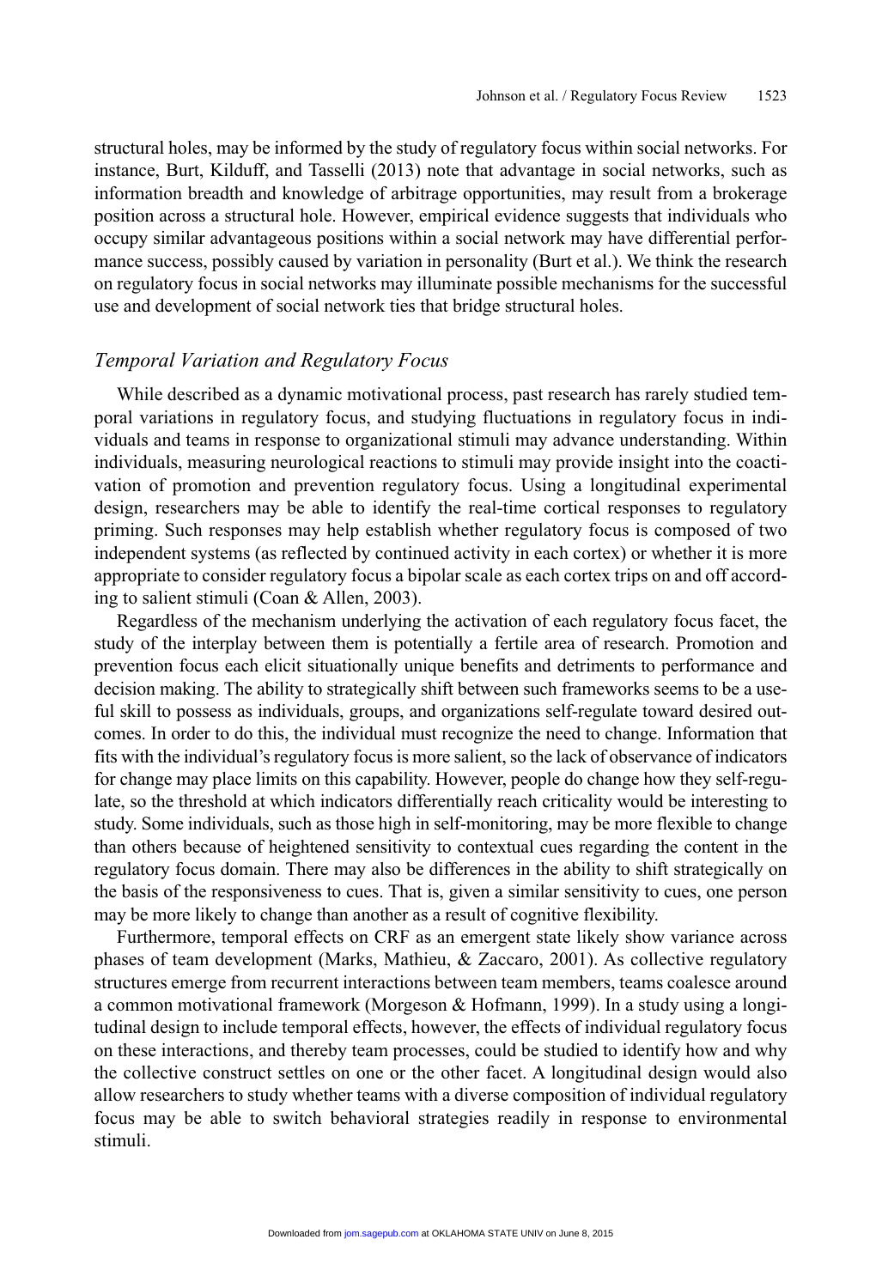structural holes, may be informed by the study of regulatory focus within social networks. For instance, Burt, Kilduff, and Tasselli (2013) note that advantage in social networks, such as information breadth and knowledge of arbitrage opportunities, may result from a brokerage position across a structural hole. However, empirical evidence suggests that individuals who occupy similar advantageous positions within a social network may have differential performance success, possibly caused by variation in personality (Burt et al.). We think the research on regulatory focus in social networks may illuminate possible mechanisms for the successful use and development of social network ties that bridge structural holes.

#### *Temporal Variation and Regulatory Focus*

While described as a dynamic motivational process, past research has rarely studied temporal variations in regulatory focus, and studying fluctuations in regulatory focus in individuals and teams in response to organizational stimuli may advance understanding. Within individuals, measuring neurological reactions to stimuli may provide insight into the coactivation of promotion and prevention regulatory focus. Using a longitudinal experimental design, researchers may be able to identify the real-time cortical responses to regulatory priming. Such responses may help establish whether regulatory focus is composed of two independent systems (as reflected by continued activity in each cortex) or whether it is more appropriate to consider regulatory focus a bipolar scale as each cortex trips on and off according to salient stimuli (Coan & Allen, 2003).

Regardless of the mechanism underlying the activation of each regulatory focus facet, the study of the interplay between them is potentially a fertile area of research. Promotion and prevention focus each elicit situationally unique benefits and detriments to performance and decision making. The ability to strategically shift between such frameworks seems to be a useful skill to possess as individuals, groups, and organizations self-regulate toward desired outcomes. In order to do this, the individual must recognize the need to change. Information that fits with the individual's regulatory focus is more salient, so the lack of observance of indicators for change may place limits on this capability. However, people do change how they self-regulate, so the threshold at which indicators differentially reach criticality would be interesting to study. Some individuals, such as those high in self-monitoring, may be more flexible to change than others because of heightened sensitivity to contextual cues regarding the content in the regulatory focus domain. There may also be differences in the ability to shift strategically on the basis of the responsiveness to cues. That is, given a similar sensitivity to cues, one person may be more likely to change than another as a result of cognitive flexibility.

Furthermore, temporal effects on CRF as an emergent state likely show variance across phases of team development (Marks, Mathieu, & Zaccaro, 2001). As collective regulatory structures emerge from recurrent interactions between team members, teams coalesce around a common motivational framework (Morgeson & Hofmann, 1999). In a study using a longitudinal design to include temporal effects, however, the effects of individual regulatory focus on these interactions, and thereby team processes, could be studied to identify how and why the collective construct settles on one or the other facet. A longitudinal design would also allow researchers to study whether teams with a diverse composition of individual regulatory focus may be able to switch behavioral strategies readily in response to environmental stimuli.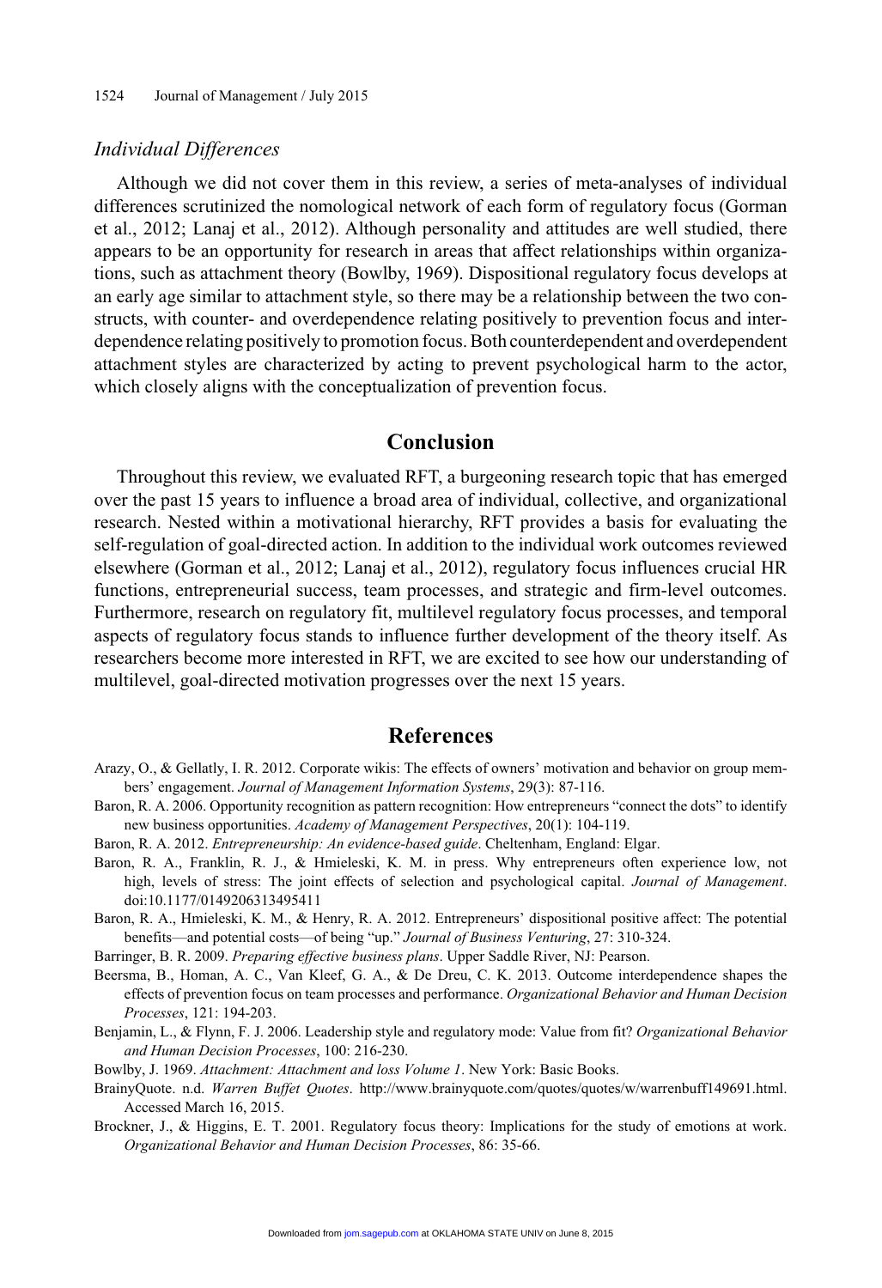#### *Individual Differences*

Although we did not cover them in this review, a series of meta-analyses of individual differences scrutinized the nomological network of each form of regulatory focus (Gorman et al., 2012; Lanaj et al., 2012). Although personality and attitudes are well studied, there appears to be an opportunity for research in areas that affect relationships within organizations, such as attachment theory (Bowlby, 1969). Dispositional regulatory focus develops at an early age similar to attachment style, so there may be a relationship between the two constructs, with counter- and overdependence relating positively to prevention focus and interdependence relating positively to promotion focus. Both counterdependent and overdependent attachment styles are characterized by acting to prevent psychological harm to the actor, which closely aligns with the conceptualization of prevention focus.

#### **Conclusion**

Throughout this review, we evaluated RFT, a burgeoning research topic that has emerged over the past 15 years to influence a broad area of individual, collective, and organizational research. Nested within a motivational hierarchy, RFT provides a basis for evaluating the self-regulation of goal-directed action. In addition to the individual work outcomes reviewed elsewhere (Gorman et al., 2012; Lanaj et al., 2012), regulatory focus influences crucial HR functions, entrepreneurial success, team processes, and strategic and firm-level outcomes. Furthermore, research on regulatory fit, multilevel regulatory focus processes, and temporal aspects of regulatory focus stands to influence further development of the theory itself. As researchers become more interested in RFT, we are excited to see how our understanding of multilevel, goal-directed motivation progresses over the next 15 years.

#### **References**

- Arazy, O., & Gellatly, I. R. 2012. Corporate wikis: The effects of owners' motivation and behavior on group members' engagement. *Journal of Management Information Systems*, 29(3): 87-116.
- Baron, R. A. 2006. Opportunity recognition as pattern recognition: How entrepreneurs "connect the dots" to identify new business opportunities. *Academy of Management Perspectives*, 20(1): 104-119.
- Baron, R. A. 2012. *Entrepreneurship: An evidence-based guide*. Cheltenham, England: Elgar.
- Baron, R. A., Franklin, R. J., & Hmieleski, K. M. in press. Why entrepreneurs often experience low, not high, levels of stress: The joint effects of selection and psychological capital. *Journal of Management*. doi:10.1177/0149206313495411

Baron, R. A., Hmieleski, K. M., & Henry, R. A. 2012. Entrepreneurs' dispositional positive affect: The potential benefits—and potential costs—of being "up." *Journal of Business Venturing*, 27: 310-324.

Barringer, B. R. 2009. *Preparing effective business plans*. Upper Saddle River, NJ: Pearson.

Beersma, B., Homan, A. C., Van Kleef, G. A., & De Dreu, C. K. 2013. Outcome interdependence shapes the effects of prevention focus on team processes and performance. *Organizational Behavior and Human Decision Processes*, 121: 194-203.

Benjamin, L., & Flynn, F. J. 2006. Leadership style and regulatory mode: Value from fit? *Organizational Behavior and Human Decision Processes*, 100: 216-230.

Bowlby, J. 1969. *Attachment: Attachment and loss Volume 1*. New York: Basic Books.

- BrainyQuote. n.d. *Warren Buffet Quotes*. http://www.brainyquote.com/quotes/quotes/w/warrenbuff149691.html. Accessed March 16, 2015.
- Brockner, J., & Higgins, E. T. 2001. Regulatory focus theory: Implications for the study of emotions at work. *Organizational Behavior and Human Decision Processes*, 86: 35-66.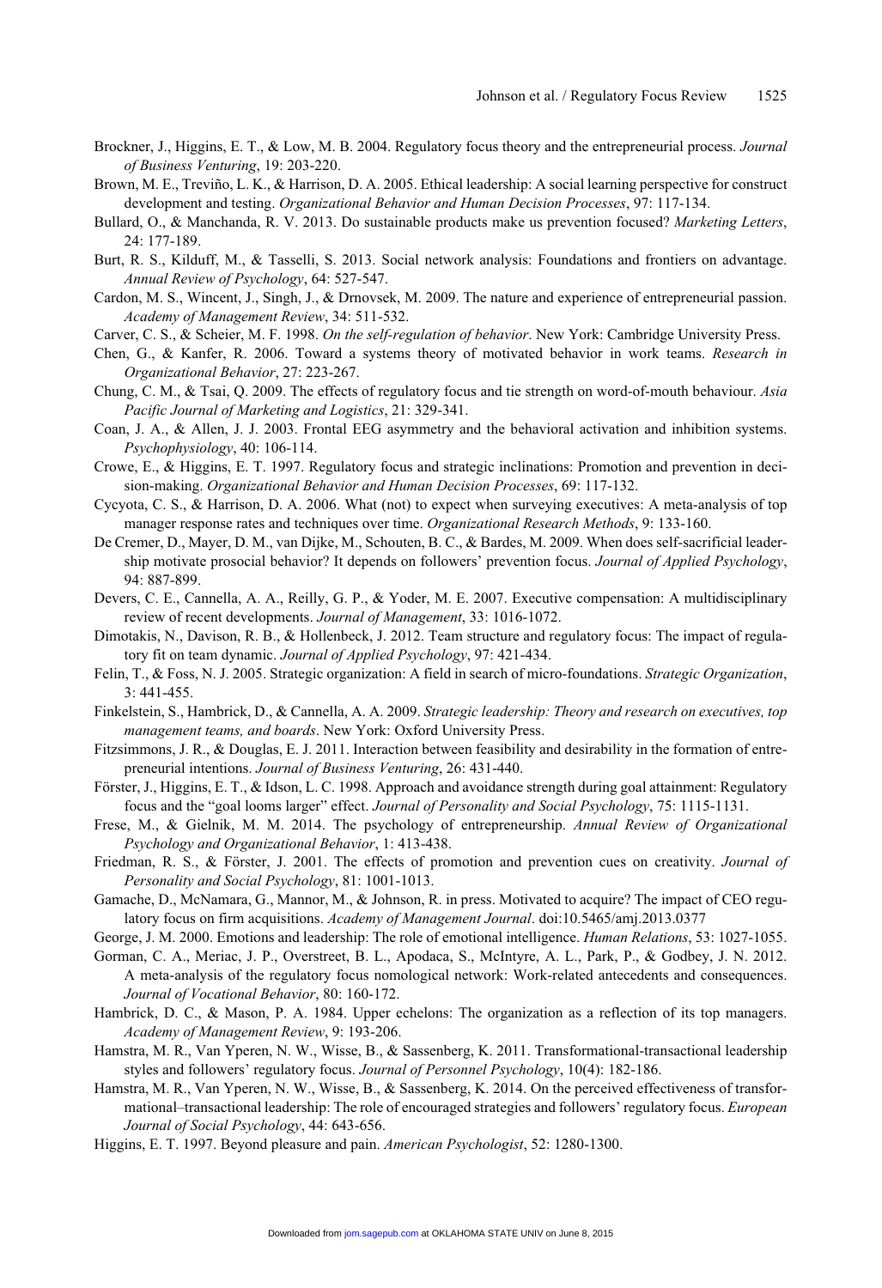- Brockner, J., Higgins, E. T., & Low, M. B. 2004. Regulatory focus theory and the entrepreneurial process. *Journal of Business Venturing*, 19: 203-220.
- Brown, M. E., Treviño, L. K., & Harrison, D. A. 2005. Ethical leadership: A social learning perspective for construct development and testing. *Organizational Behavior and Human Decision Processes*, 97: 117-134.
- Bullard, O., & Manchanda, R. V. 2013. Do sustainable products make us prevention focused? *Marketing Letters*, 24: 177-189.
- Burt, R. S., Kilduff, M., & Tasselli, S. 2013. Social network analysis: Foundations and frontiers on advantage. *Annual Review of Psychology*, 64: 527-547.
- Cardon, M. S., Wincent, J., Singh, J., & Drnovsek, M. 2009. The nature and experience of entrepreneurial passion. *Academy of Management Review*, 34: 511-532.
- Carver, C. S., & Scheier, M. F. 1998. *On the self-regulation of behavior*. New York: Cambridge University Press.
- Chen, G., & Kanfer, R. 2006. Toward a systems theory of motivated behavior in work teams. *Research in Organizational Behavior*, 27: 223-267.
- Chung, C. M., & Tsai, Q. 2009. The effects of regulatory focus and tie strength on word-of-mouth behaviour. *Asia Pacific Journal of Marketing and Logistics*, 21: 329-341.
- Coan, J. A., & Allen, J. J. 2003. Frontal EEG asymmetry and the behavioral activation and inhibition systems. *Psychophysiology*, 40: 106-114.
- Crowe, E., & Higgins, E. T. 1997. Regulatory focus and strategic inclinations: Promotion and prevention in decision-making. *Organizational Behavior and Human Decision Processes*, 69: 117-132.
- Cycyota, C. S., & Harrison, D. A. 2006. What (not) to expect when surveying executives: A meta-analysis of top manager response rates and techniques over time. *Organizational Research Methods*, 9: 133-160.
- De Cremer, D., Mayer, D. M., van Dijke, M., Schouten, B. C., & Bardes, M. 2009. When does self-sacrificial leadership motivate prosocial behavior? It depends on followers' prevention focus. *Journal of Applied Psychology*, 94: 887-899.
- Devers, C. E., Cannella, A. A., Reilly, G. P., & Yoder, M. E. 2007. Executive compensation: A multidisciplinary review of recent developments. *Journal of Management*, 33: 1016-1072.
- Dimotakis, N., Davison, R. B., & Hollenbeck, J. 2012. Team structure and regulatory focus: The impact of regulatory fit on team dynamic. *Journal of Applied Psychology*, 97: 421-434.
- Felin, T., & Foss, N. J. 2005. Strategic organization: A field in search of micro-foundations. *Strategic Organization*, 3: 441-455.
- Finkelstein, S., Hambrick, D., & Cannella, A. A. 2009. *Strategic leadership: Theory and research on executives, top management teams, and boards*. New York: Oxford University Press.
- Fitzsimmons, J. R., & Douglas, E. J. 2011. Interaction between feasibility and desirability in the formation of entrepreneurial intentions. *Journal of Business Venturing*, 26: 431-440.
- Förster, J., Higgins, E. T., & Idson, L. C. 1998. Approach and avoidance strength during goal attainment: Regulatory focus and the "goal looms larger" effect. *Journal of Personality and Social Psychology*, 75: 1115-1131.
- Frese, M., & Gielnik, M. M. 2014. The psychology of entrepreneurship. *Annual Review of Organizational Psychology and Organizational Behavior*, 1: 413-438.
- Friedman, R. S., & Förster, J. 2001. The effects of promotion and prevention cues on creativity. *Journal of Personality and Social Psychology*, 81: 1001-1013.
- Gamache, D., McNamara, G., Mannor, M., & Johnson, R. in press. Motivated to acquire? The impact of CEO regulatory focus on firm acquisitions. *Academy of Management Journal*. doi:10.5465/amj.2013.0377
- George, J. M. 2000. Emotions and leadership: The role of emotional intelligence. *Human Relations*, 53: 1027-1055.
- Gorman, C. A., Meriac, J. P., Overstreet, B. L., Apodaca, S., McIntyre, A. L., Park, P., & Godbey, J. N. 2012. A meta-analysis of the regulatory focus nomological network: Work-related antecedents and consequences. *Journal of Vocational Behavior*, 80: 160-172.
- Hambrick, D. C., & Mason, P. A. 1984. Upper echelons: The organization as a reflection of its top managers. *Academy of Management Review*, 9: 193-206.
- Hamstra, M. R., Van Yperen, N. W., Wisse, B., & Sassenberg, K. 2011. Transformational-transactional leadership styles and followers' regulatory focus. *Journal of Personnel Psychology*, 10(4): 182-186.
- Hamstra, M. R., Van Yperen, N. W., Wisse, B., & Sassenberg, K. 2014. On the perceived effectiveness of transformational–transactional leadership: The role of encouraged strategies and followers' regulatory focus. *European Journal of Social Psychology*, 44: 643-656.
- Higgins, E. T. 1997. Beyond pleasure and pain. *American Psychologist*, 52: 1280-1300.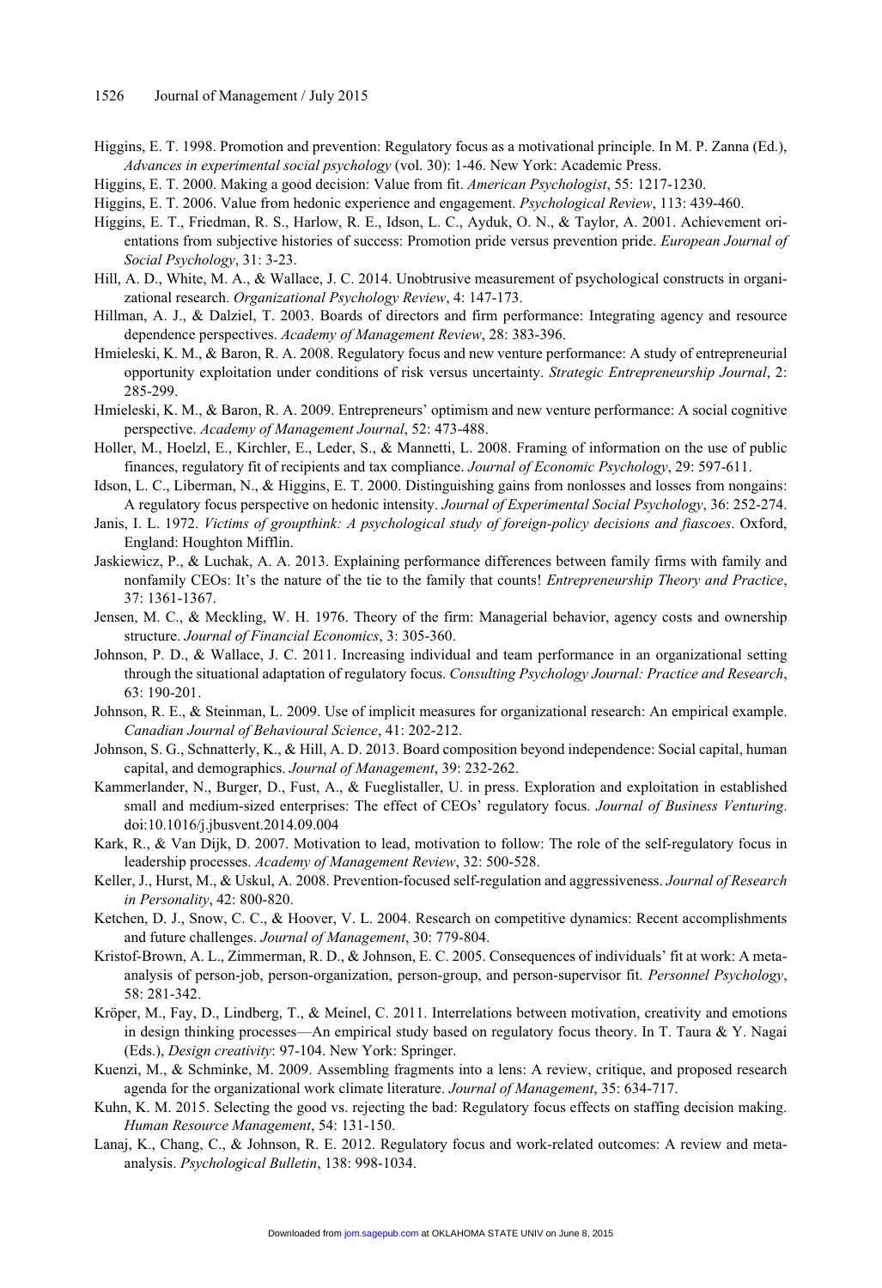- Higgins, E. T. 1998. Promotion and prevention: Regulatory focus as a motivational principle. In M. P. Zanna (Ed.), *Advances in experimental social psychology* (vol. 30): 1-46. New York: Academic Press.
- Higgins, E. T. 2000. Making a good decision: Value from fit. *American Psychologist*, 55: 1217-1230.
- Higgins, E. T. 2006. Value from hedonic experience and engagement. *Psychological Review*, 113: 439-460.
- Higgins, E. T., Friedman, R. S., Harlow, R. E., Idson, L. C., Ayduk, O. N., & Taylor, A. 2001. Achievement orientations from subjective histories of success: Promotion pride versus prevention pride. *European Journal of Social Psychology*, 31: 3-23.
- Hill, A. D., White, M. A., & Wallace, J. C. 2014. Unobtrusive measurement of psychological constructs in organizational research. *Organizational Psychology Review*, 4: 147-173.
- Hillman, A. J., & Dalziel, T. 2003. Boards of directors and firm performance: Integrating agency and resource dependence perspectives. *Academy of Management Review*, 28: 383-396.
- Hmieleski, K. M., & Baron, R. A. 2008. Regulatory focus and new venture performance: A study of entrepreneurial opportunity exploitation under conditions of risk versus uncertainty. *Strategic Entrepreneurship Journal*, 2: 285-299.
- Hmieleski, K. M., & Baron, R. A. 2009. Entrepreneurs' optimism and new venture performance: A social cognitive perspective. *Academy of Management Journal*, 52: 473-488.
- Holler, M., Hoelzl, E., Kirchler, E., Leder, S., & Mannetti, L. 2008. Framing of information on the use of public finances, regulatory fit of recipients and tax compliance. *Journal of Economic Psychology*, 29: 597-611.
- Idson, L. C., Liberman, N., & Higgins, E. T. 2000. Distinguishing gains from nonlosses and losses from nongains: A regulatory focus perspective on hedonic intensity. *Journal of Experimental Social Psychology*, 36: 252-274.
- Janis, I. L. 1972. *Victims of groupthink: A psychological study of foreign-policy decisions and fiascoes*. Oxford, England: Houghton Mifflin.
- Jaskiewicz, P., & Luchak, A. A. 2013. Explaining performance differences between family firms with family and nonfamily CEOs: It's the nature of the tie to the family that counts! *Entrepreneurship Theory and Practice*, 37: 1361-1367.
- Jensen, M. C., & Meckling, W. H. 1976. Theory of the firm: Managerial behavior, agency costs and ownership structure. *Journal of Financial Economics*, 3: 305-360.
- Johnson, P. D., & Wallace, J. C. 2011. Increasing individual and team performance in an organizational setting through the situational adaptation of regulatory focus. *Consulting Psychology Journal: Practice and Research*, 63: 190-201.
- Johnson, R. E., & Steinman, L. 2009. Use of implicit measures for organizational research: An empirical example. *Canadian Journal of Behavioural Science*, 41: 202-212.
- Johnson, S. G., Schnatterly, K., & Hill, A. D. 2013. Board composition beyond independence: Social capital, human capital, and demographics. *Journal of Management*, 39: 232-262.
- Kammerlander, N., Burger, D., Fust, A., & Fueglistaller, U. in press. Exploration and exploitation in established small and medium-sized enterprises: The effect of CEOs' regulatory focus. *Journal of Business Venturing*. doi:10.1016/j.jbusvent.2014.09.004
- Kark, R., & Van Dijk, D. 2007. Motivation to lead, motivation to follow: The role of the self-regulatory focus in leadership processes. *Academy of Management Review*, 32: 500-528.
- Keller, J., Hurst, M., & Uskul, A. 2008. Prevention-focused self-regulation and aggressiveness. *Journal of Research in Personality*, 42: 800-820.
- Ketchen, D. J., Snow, C. C., & Hoover, V. L. 2004. Research on competitive dynamics: Recent accomplishments and future challenges. *Journal of Management*, 30: 779-804.
- Kristof-Brown, A. L., Zimmerman, R. D., & Johnson, E. C. 2005. Consequences of individuals' fit at work: A metaanalysis of person-job, person-organization, person-group, and person-supervisor fit. *Personnel Psychology*, 58: 281-342.
- Kröper, M., Fay, D., Lindberg, T., & Meinel, C. 2011. Interrelations between motivation, creativity and emotions in design thinking processes—An empirical study based on regulatory focus theory. In T. Taura & Y. Nagai (Eds.), *Design creativity*: 97-104. New York: Springer.
- Kuenzi, M., & Schminke, M. 2009. Assembling fragments into a lens: A review, critique, and proposed research agenda for the organizational work climate literature. *Journal of Management*, 35: 634-717.
- Kuhn, K. M. 2015. Selecting the good vs. rejecting the bad: Regulatory focus effects on staffing decision making. *Human Resource Management*, 54: 131-150.
- Lanaj, K., Chang, C., & Johnson, R. E. 2012. Regulatory focus and work-related outcomes: A review and metaanalysis. *Psychological Bulletin*, 138: 998-1034.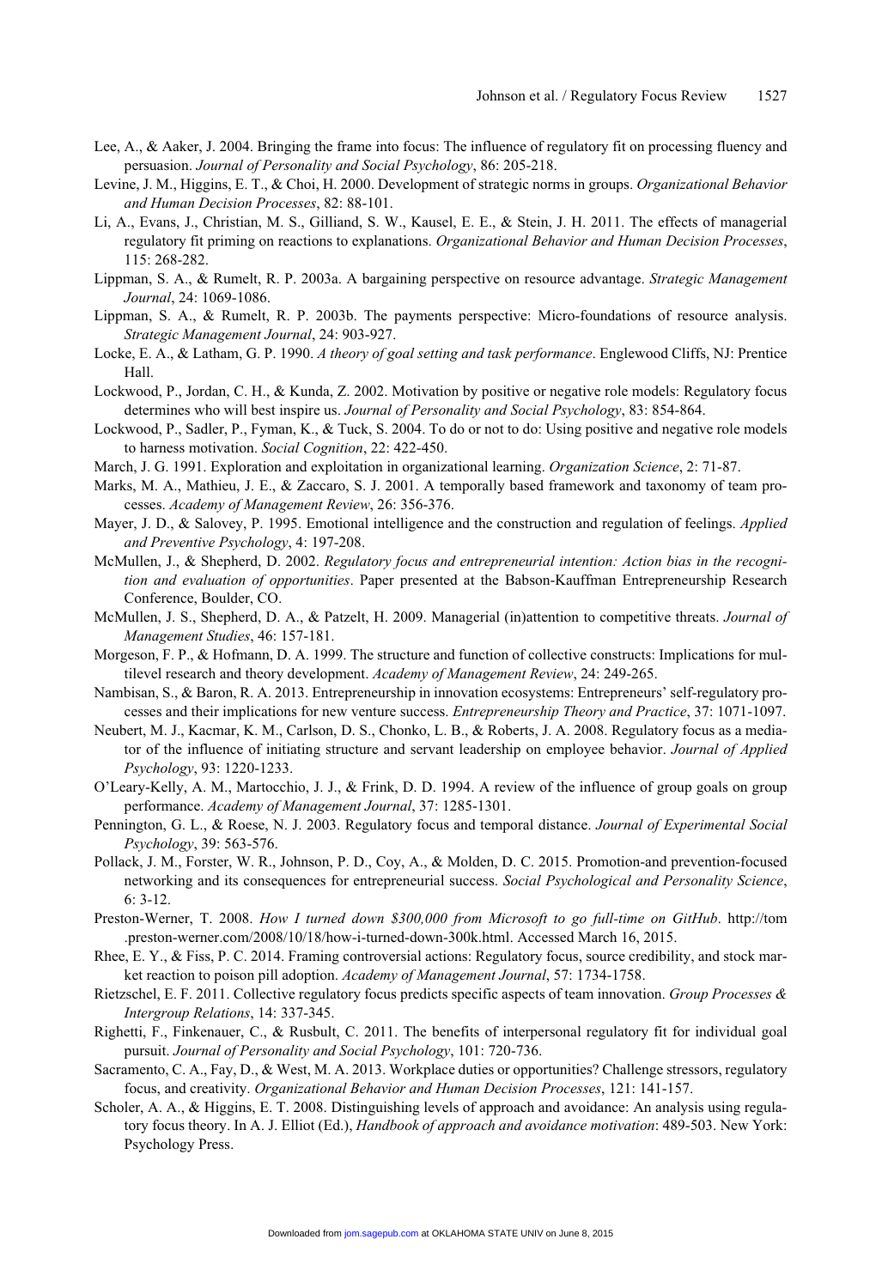- Lee, A., & Aaker, J. 2004. Bringing the frame into focus: The influence of regulatory fit on processing fluency and persuasion. *Journal of Personality and Social Psychology*, 86: 205-218.
- Levine, J. M., Higgins, E. T., & Choi, H. 2000. Development of strategic norms in groups. *Organizational Behavior and Human Decision Processes*, 82: 88-101.
- Li, A., Evans, J., Christian, M. S., Gilliand, S. W., Kausel, E. E., & Stein, J. H. 2011. The effects of managerial regulatory fit priming on reactions to explanations. *Organizational Behavior and Human Decision Processes*, 115: 268-282.
- Lippman, S. A., & Rumelt, R. P. 2003a. A bargaining perspective on resource advantage. *Strategic Management Journal*, 24: 1069-1086.
- Lippman, S. A., & Rumelt, R. P. 2003b. The payments perspective: Micro-foundations of resource analysis. *Strategic Management Journal*, 24: 903-927.
- Locke, E. A., & Latham, G. P. 1990. *A theory of goal setting and task performance*. Englewood Cliffs, NJ: Prentice Hall.
- Lockwood, P., Jordan, C. H., & Kunda, Z. 2002. Motivation by positive or negative role models: Regulatory focus determines who will best inspire us. *Journal of Personality and Social Psychology*, 83: 854-864.
- Lockwood, P., Sadler, P., Fyman, K., & Tuck, S. 2004. To do or not to do: Using positive and negative role models to harness motivation. *Social Cognition*, 22: 422-450.
- March, J. G. 1991. Exploration and exploitation in organizational learning. *Organization Science*, 2: 71-87.
- Marks, M. A., Mathieu, J. E., & Zaccaro, S. J. 2001. A temporally based framework and taxonomy of team processes. *Academy of Management Review*, 26: 356-376.
- Mayer, J. D., & Salovey, P. 1995. Emotional intelligence and the construction and regulation of feelings. *Applied and Preventive Psychology*, 4: 197-208.
- McMullen, J., & Shepherd, D. 2002. *Regulatory focus and entrepreneurial intention: Action bias in the recognition and evaluation of opportunities*. Paper presented at the Babson-Kauffman Entrepreneurship Research Conference, Boulder, CO.
- McMullen, J. S., Shepherd, D. A., & Patzelt, H. 2009. Managerial (in)attention to competitive threats. *Journal of Management Studies*, 46: 157-181.
- Morgeson, F. P., & Hofmann, D. A. 1999. The structure and function of collective constructs: Implications for multilevel research and theory development. *Academy of Management Review*, 24: 249-265.
- Nambisan, S., & Baron, R. A. 2013. Entrepreneurship in innovation ecosystems: Entrepreneurs' self-regulatory processes and their implications for new venture success. *Entrepreneurship Theory and Practice*, 37: 1071-1097.
- Neubert, M. J., Kacmar, K. M., Carlson, D. S., Chonko, L. B., & Roberts, J. A. 2008. Regulatory focus as a mediator of the influence of initiating structure and servant leadership on employee behavior. *Journal of Applied Psychology*, 93: 1220-1233.
- O'Leary-Kelly, A. M., Martocchio, J. J., & Frink, D. D. 1994. A review of the influence of group goals on group performance. *Academy of Management Journal*, 37: 1285-1301.
- Pennington, G. L., & Roese, N. J. 2003. Regulatory focus and temporal distance. *Journal of Experimental Social Psychology*, 39: 563-576.
- Pollack, J. M., Forster, W. R., Johnson, P. D., Coy, A., & Molden, D. C. 2015. Promotion-and prevention-focused networking and its consequences for entrepreneurial success. *Social Psychological and Personality Science*, 6: 3-12.
- Preston-Werner, T. 2008. *How I turned down \$300,000 from Microsoft to go full-time on GitHub*. http://tom [.preston-werner.com/2008/10/18/how-i-turned-down-300k.html. Accessed March 16, 2015.](http://tom.preston-werner.com/2008/10/18/how-i-turned-down-300k.html)
- Rhee, E. Y., & Fiss, P. C. 2014. Framing controversial actions: Regulatory focus, source credibility, and stock market reaction to poison pill adoption. *Academy of Management Journal*, 57: 1734-1758.
- Rietzschel, E. F. 2011. Collective regulatory focus predicts specific aspects of team innovation. *Group Processes & Intergroup Relations*, 14: 337-345.
- Righetti, F., Finkenauer, C., & Rusbult, C. 2011. The benefits of interpersonal regulatory fit for individual goal pursuit. *Journal of Personality and Social Psychology*, 101: 720-736.
- Sacramento, C. A., Fay, D., & West, M. A. 2013. Workplace duties or opportunities? Challenge stressors, regulatory focus, and creativity. *Organizational Behavior and Human Decision Processes*, 121: 141-157.
- Scholer, A. A., & Higgins, E. T. 2008. Distinguishing levels of approach and avoidance: An analysis using regulatory focus theory. In A. J. Elliot (Ed.), *Handbook of approach and avoidance motivation*: 489-503. New York: Psychology Press.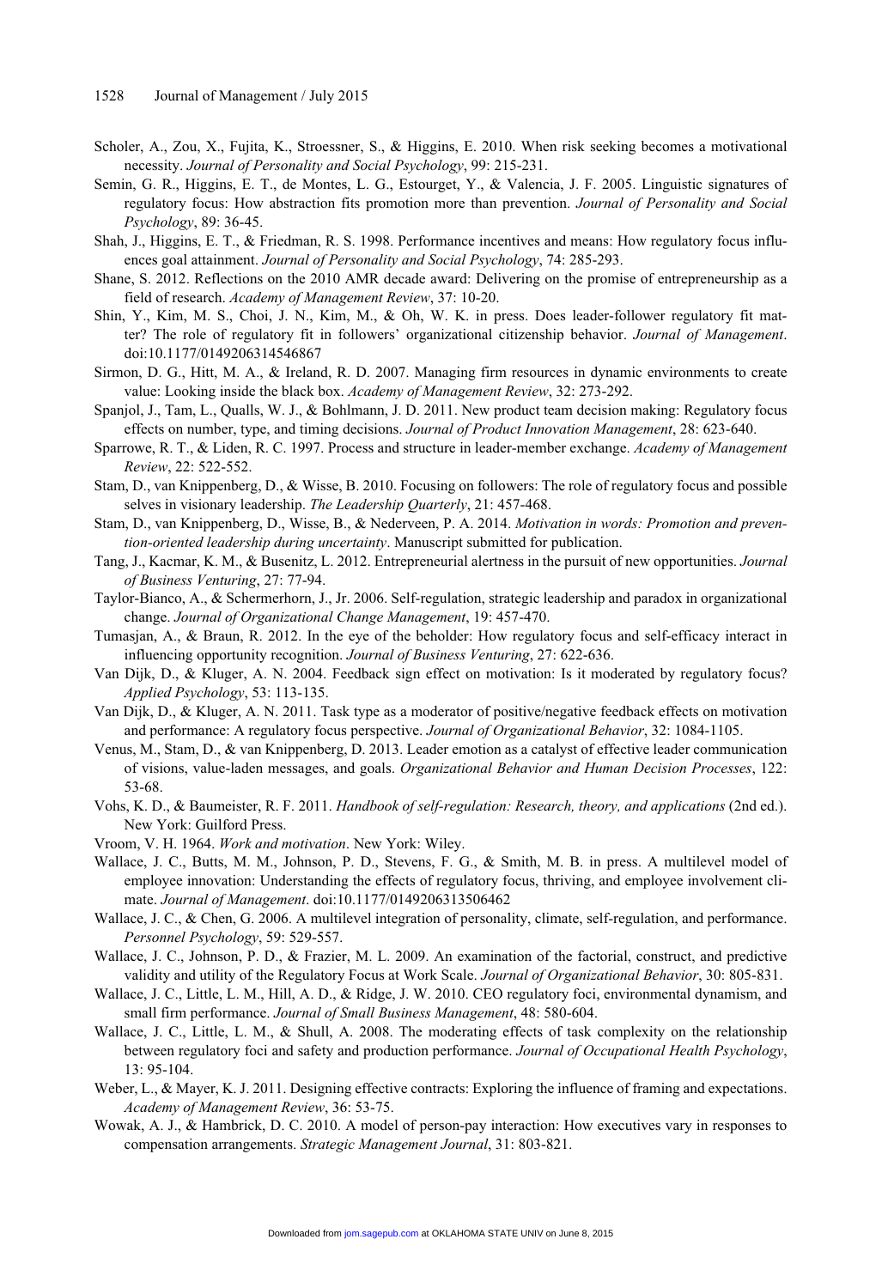- Scholer, A., Zou, X., Fujita, K., Stroessner, S., & Higgins, E. 2010. When risk seeking becomes a motivational necessity. *Journal of Personality and Social Psychology*, 99: 215-231.
- Semin, G. R., Higgins, E. T., de Montes, L. G., Estourget, Y., & Valencia, J. F. 2005. Linguistic signatures of regulatory focus: How abstraction fits promotion more than prevention. *Journal of Personality and Social Psychology*, 89: 36-45.
- Shah, J., Higgins, E. T., & Friedman, R. S. 1998. Performance incentives and means: How regulatory focus influences goal attainment. *Journal of Personality and Social Psychology*, 74: 285-293.
- Shane, S. 2012. Reflections on the 2010 AMR decade award: Delivering on the promise of entrepreneurship as a field of research. *Academy of Management Review*, 37: 10-20.
- Shin, Y., Kim, M. S., Choi, J. N., Kim, M., & Oh, W. K. in press. Does leader-follower regulatory fit matter? The role of regulatory fit in followers' organizational citizenship behavior. *Journal of Management*. doi:10.1177/0149206314546867
- Sirmon, D. G., Hitt, M. A., & Ireland, R. D. 2007. Managing firm resources in dynamic environments to create value: Looking inside the black box. *Academy of Management Review*, 32: 273-292.
- Spanjol, J., Tam, L., Qualls, W. J., & Bohlmann, J. D. 2011. New product team decision making: Regulatory focus effects on number, type, and timing decisions. *Journal of Product Innovation Management*, 28: 623-640.
- Sparrowe, R. T., & Liden, R. C. 1997. Process and structure in leader-member exchange. *Academy of Management Review*, 22: 522-552.
- Stam, D., van Knippenberg, D., & Wisse, B. 2010. Focusing on followers: The role of regulatory focus and possible selves in visionary leadership. *The Leadership Quarterly*, 21: 457-468.
- Stam, D., van Knippenberg, D., Wisse, B., & Nederveen, P. A. 2014. *Motivation in words: Promotion and prevention-oriented leadership during uncertainty*. Manuscript submitted for publication.
- Tang, J., Kacmar, K. M., & Busenitz, L. 2012. Entrepreneurial alertness in the pursuit of new opportunities. *Journal of Business Venturing*, 27: 77-94.
- Taylor-Bianco, A., & Schermerhorn, J., Jr. 2006. Self-regulation, strategic leadership and paradox in organizational change. *Journal of Organizational Change Management*, 19: 457-470.
- Tumasjan, A., & Braun, R. 2012. In the eye of the beholder: How regulatory focus and self-efficacy interact in influencing opportunity recognition. *Journal of Business Venturing*, 27: 622-636.
- Van Dijk, D., & Kluger, A. N. 2004. Feedback sign effect on motivation: Is it moderated by regulatory focus? *Applied Psychology*, 53: 113-135.
- Van Dijk, D., & Kluger, A. N. 2011. Task type as a moderator of positive/negative feedback effects on motivation and performance: A regulatory focus perspective. *Journal of Organizational Behavior*, 32: 1084-1105.
- Venus, M., Stam, D., & van Knippenberg, D. 2013. Leader emotion as a catalyst of effective leader communication of visions, value-laden messages, and goals. *Organizational Behavior and Human Decision Processes*, 122: 53-68.
- Vohs, K. D., & Baumeister, R. F. 2011. *Handbook of self-regulation: Research, theory, and applications* (2nd ed.). New York: Guilford Press.
- Vroom, V. H. 1964. *Work and motivation*. New York: Wiley.
- Wallace, J. C., Butts, M. M., Johnson, P. D., Stevens, F. G., & Smith, M. B. in press. A multilevel model of employee innovation: Understanding the effects of regulatory focus, thriving, and employee involvement climate. *Journal of Management*. doi:10.1177/0149206313506462
- Wallace, J. C., & Chen, G. 2006. A multilevel integration of personality, climate, self-regulation, and performance. *Personnel Psychology*, 59: 529-557.
- Wallace, J. C., Johnson, P. D., & Frazier, M. L. 2009. An examination of the factorial, construct, and predictive validity and utility of the Regulatory Focus at Work Scale. *Journal of Organizational Behavior*, 30: 805-831.
- Wallace, J. C., Little, L. M., Hill, A. D., & Ridge, J. W. 2010. CEO regulatory foci, environmental dynamism, and small firm performance. *Journal of Small Business Management*, 48: 580-604.
- Wallace, J. C., Little, L. M., & Shull, A. 2008. The moderating effects of task complexity on the relationship between regulatory foci and safety and production performance. *Journal of Occupational Health Psychology*, 13: 95-104.
- Weber, L., & Mayer, K. J. 2011. Designing effective contracts: Exploring the influence of framing and expectations. *Academy of Management Review*, 36: 53-75.
- Wowak, A. J., & Hambrick, D. C. 2010. A model of person-pay interaction: How executives vary in responses to compensation arrangements. *Strategic Management Journal*, 31: 803-821.